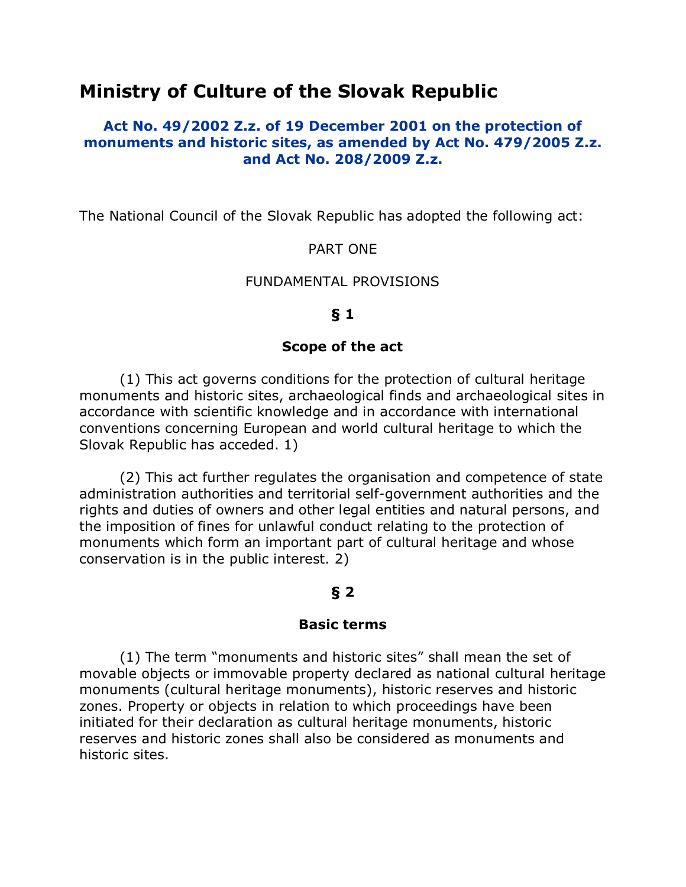# **Ministry of Culture of the Slovak Republic**

### **Act No. 49/2002 Z.z. of 19 December 2001 on the protection of monuments and historic sites, as amended by Act No. 479/2005 Z.z. and Act No. 208/2009 Z.z.**

The National Council of the Slovak Republic has adopted the following act:

### PART ONE

#### FUNDAMENTAL PROVISIONS

#### **§ 1**

#### **Scope of the act**

(1) This act governs conditions for the protection of cultural heritage monuments and historic sites, archaeological finds and archaeological sites in accordance with scientific knowledge and in accordance with international conventions concerning European and world cultural heritage to which the Slovak Republic has acceded. 1)

(2) This act further regulates the organisation and competence of state administration authorities and territorial self-government authorities and the rights and duties of owners and other legal entities and natural persons, and the imposition of fines for unlawful conduct relating to the protection of monuments which form an important part of cultural heritage and whose conservation is in the public interest. 2)

### **§ 2**

#### **Basic terms**

(1) The term "monuments and historic sites" shall mean the set of movable objects or immovable property declared as national cultural heritage monuments (cultural heritage monuments), historic reserves and historic zones. Property or objects in relation to which proceedings have been initiated for their declaration as cultural heritage monuments, historic reserves and historic zones shall also be considered as monuments and historic sites.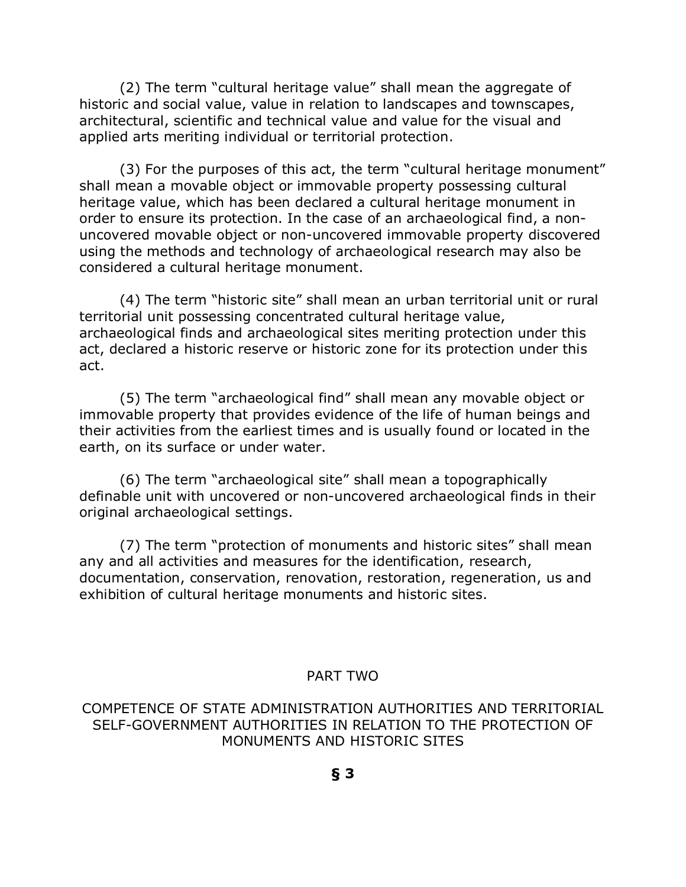(2) The term "cultural heritage value" shall mean the aggregate of historic and social value, value in relation to landscapes and townscapes, architectural, scientific and technical value and value for the visual and applied arts meriting individual or territorial protection.

(3) For the purposes of this act, the term "cultural heritage monument" shall mean a movable object or immovable property possessing cultural heritage value, which has been declared a cultural heritage monument in order to ensure its protection. In the case of an archaeological find, a nonuncovered movable object or non-uncovered immovable property discovered using the methods and technology of archaeological research may also be considered a cultural heritage monument.

(4) The term "historic site" shall mean an urban territorial unit or rural territorial unit possessing concentrated cultural heritage value, archaeological finds and archaeological sites meriting protection under this act, declared a historic reserve or historic zone for its protection under this act.

(5) The term "archaeological find" shall mean any movable object or immovable property that provides evidence of the life of human beings and their activities from the earliest times and is usually found or located in the earth, on its surface or under water.

(6) The term "archaeological site" shall mean a topographically definable unit with uncovered or non-uncovered archaeological finds in their original archaeological settings.

(7) The term "protection of monuments and historic sites" shall mean any and all activities and measures for the identification, research, documentation, conservation, renovation, restoration, regeneration, us and exhibition of cultural heritage monuments and historic sites.

### PART TWO

COMPETENCE OF STATE ADMINISTRATION AUTHORITIES AND TERRITORIAL SELF-GOVERNMENT AUTHORITIES IN RELATION TO THE PROTECTION OF MONUMENTS AND HISTORIC SITES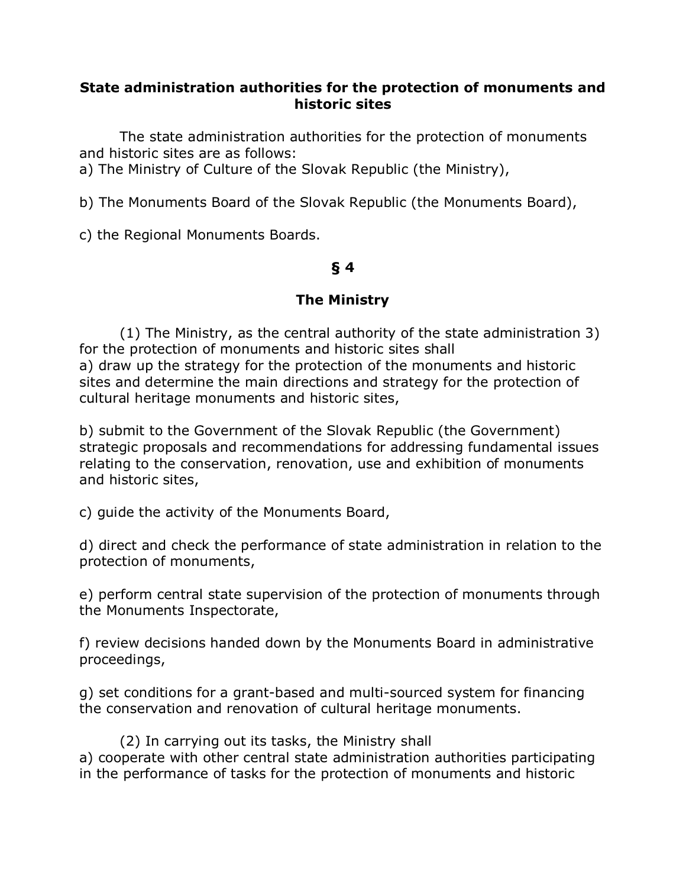### **State administration authorities for the protection of monuments and historic sites**

The state administration authorities for the protection of monuments and historic sites are as follows:

a) The Ministry of Culture of the Slovak Republic (the Ministry),

b) The Monuments Board of the Slovak Republic (the Monuments Board),

c) the Regional Monuments Boards.

## **§ 4**

## **The Ministry**

(1) The Ministry, as the central authority of the state administration 3) for the protection of monuments and historic sites shall a) draw up the strategy for the protection of the monuments and historic sites and determine the main directions and strategy for the protection of cultural heritage monuments and historic sites,

b) submit to the Government of the Slovak Republic (the Government) strategic proposals and recommendations for addressing fundamental issues relating to the conservation, renovation, use and exhibition of monuments and historic sites,

c) guide the activity of the Monuments Board,

d) direct and check the performance of state administration in relation to the protection of monuments,

e) perform central state supervision of the protection of monuments through the Monuments Inspectorate,

f) review decisions handed down by the Monuments Board in administrative proceedings,

g) set conditions for a grant-based and multi-sourced system for financing the conservation and renovation of cultural heritage monuments.

(2) In carrying out its tasks, the Ministry shall a) cooperate with other central state administration authorities participating in the performance of tasks for the protection of monuments and historic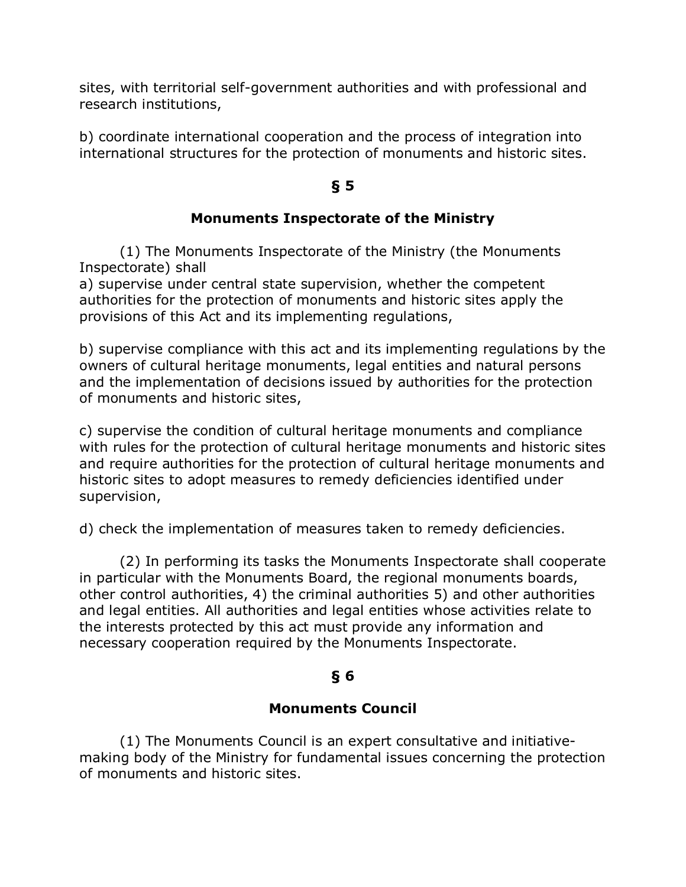sites, with territorial self-government authorities and with professional and research institutions,

b) coordinate international cooperation and the process of integration into international structures for the protection of monuments and historic sites.

## **§ 5**

## **Monuments Inspectorate of the Ministry**

(1) The Monuments Inspectorate of the Ministry (the Monuments Inspectorate) shall

a) supervise under central state supervision, whether the competent authorities for the protection of monuments and historic sites apply the provisions of this Act and its implementing regulations,

b) supervise compliance with this act and its implementing regulations by the owners of cultural heritage monuments, legal entities and natural persons and the implementation of decisions issued by authorities for the protection of monuments and historic sites,

c) supervise the condition of cultural heritage monuments and compliance with rules for the protection of cultural heritage monuments and historic sites and require authorities for the protection of cultural heritage monuments and historic sites to adopt measures to remedy deficiencies identified under supervision,

d) check the implementation of measures taken to remedy deficiencies.

(2) In performing its tasks the Monuments Inspectorate shall cooperate in particular with the Monuments Board, the regional monuments boards, other control authorities, 4) the criminal authorities 5) and other authorities and legal entities. All authorities and legal entities whose activities relate to the interests protected by this act must provide any information and necessary cooperation required by the Monuments Inspectorate.

## **§ 6**

## **Monuments Council**

(1) The Monuments Council is an expert consultative and initiativemaking body of the Ministry for fundamental issues concerning the protection of monuments and historic sites.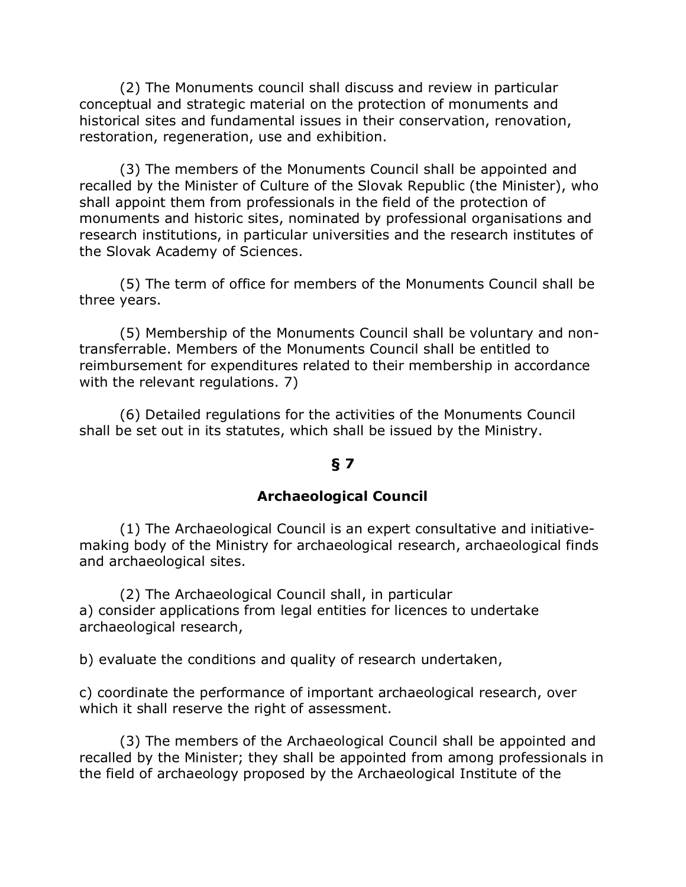(2) The Monuments council shall discuss and review in particular conceptual and strategic material on the protection of monuments and historical sites and fundamental issues in their conservation, renovation, restoration, regeneration, use and exhibition.

(3) The members of the Monuments Council shall be appointed and recalled by the Minister of Culture of the Slovak Republic (the Minister), who shall appoint them from professionals in the field of the protection of monuments and historic sites, nominated by professional organisations and research institutions, in particular universities and the research institutes of the Slovak Academy of Sciences.

(5) The term of office for members of the Monuments Council shall be three years.

(5) Membership of the Monuments Council shall be voluntary and nontransferrable. Members of the Monuments Council shall be entitled to reimbursement for expenditures related to their membership in accordance with the relevant regulations. 7)

(6) Detailed regulations for the activities of the Monuments Council shall be set out in its statutes, which shall be issued by the Ministry.

#### **§ 7**

#### **Archaeological Council**

(1) The Archaeological Council is an expert consultative and initiativemaking body of the Ministry for archaeological research, archaeological finds and archaeological sites.

(2) The Archaeological Council shall, in particular a) consider applications from legal entities for licences to undertake archaeological research,

b) evaluate the conditions and quality of research undertaken,

c) coordinate the performance of important archaeological research, over which it shall reserve the right of assessment.

(3) The members of the Archaeological Council shall be appointed and recalled by the Minister; they shall be appointed from among professionals in the field of archaeology proposed by the Archaeological Institute of the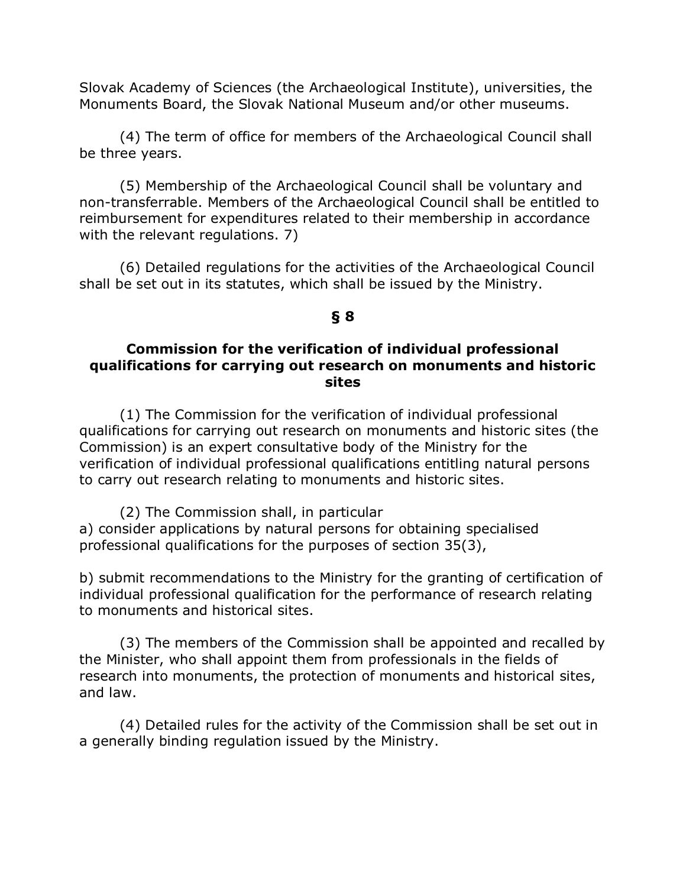Slovak Academy of Sciences (the Archaeological Institute), universities, the Monuments Board, the Slovak National Museum and/or other museums.

(4) The term of office for members of the Archaeological Council shall be three years.

(5) Membership of the Archaeological Council shall be voluntary and non-transferrable. Members of the Archaeological Council shall be entitled to reimbursement for expenditures related to their membership in accordance with the relevant regulations. 7)

(6) Detailed regulations for the activities of the Archaeological Council shall be set out in its statutes, which shall be issued by the Ministry.

#### **§ 8**

#### **Commission for the verification of individual professional qualifications for carrying out research on monuments and historic sites**

(1) The Commission for the verification of individual professional qualifications for carrying out research on monuments and historic sites (the Commission) is an expert consultative body of the Ministry for the verification of individual professional qualifications entitling natural persons to carry out research relating to monuments and historic sites.

(2) The Commission shall, in particular a) consider applications by natural persons for obtaining specialised professional qualifications for the purposes of section 35(3),

b) submit recommendations to the Ministry for the granting of certification of individual professional qualification for the performance of research relating to monuments and historical sites.

(3) The members of the Commission shall be appointed and recalled by the Minister, who shall appoint them from professionals in the fields of research into monuments, the protection of monuments and historical sites, and law.

(4) Detailed rules for the activity of the Commission shall be set out in a generally binding regulation issued by the Ministry.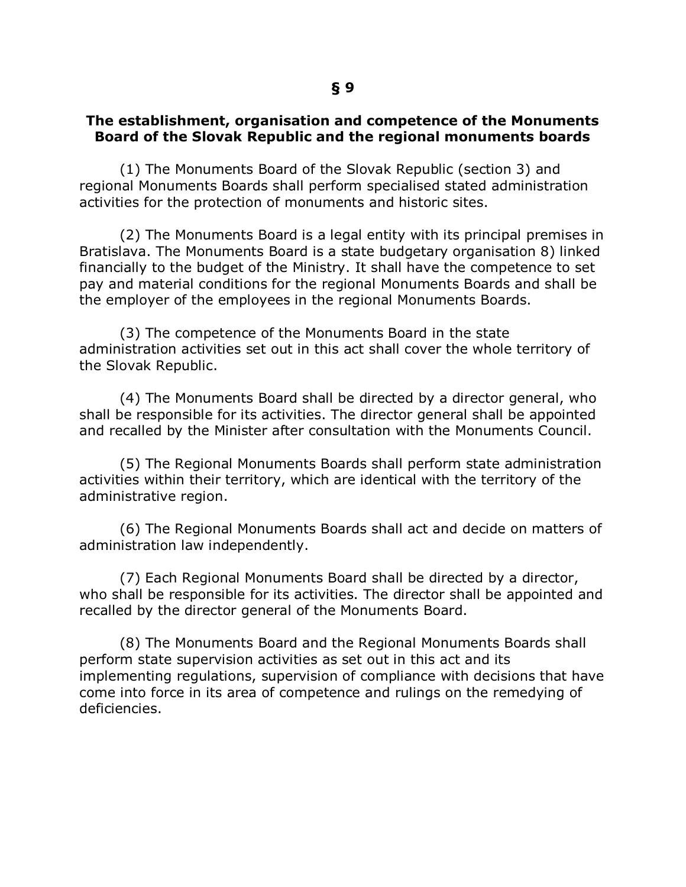### **The establishment, organisation and competence of the Monuments Board of the Slovak Republic and the regional monuments boards**

(1) The Monuments Board of the Slovak Republic (section 3) and regional Monuments Boards shall perform specialised stated administration activities for the protection of monuments and historic sites.

(2) The Monuments Board is a legal entity with its principal premises in Bratislava. The Monuments Board is a state budgetary organisation 8) linked financially to the budget of the Ministry. It shall have the competence to set pay and material conditions for the regional Monuments Boards and shall be the employer of the employees in the regional Monuments Boards.

(3) The competence of the Monuments Board in the state administration activities set out in this act shall cover the whole territory of the Slovak Republic.

(4) The Monuments Board shall be directed by a director general, who shall be responsible for its activities. The director general shall be appointed and recalled by the Minister after consultation with the Monuments Council.

(5) The Regional Monuments Boards shall perform state administration activities within their territory, which are identical with the territory of the administrative region.

(6) The Regional Monuments Boards shall act and decide on matters of administration law independently.

(7) Each Regional Monuments Board shall be directed by a director, who shall be responsible for its activities. The director shall be appointed and recalled by the director general of the Monuments Board.

(8) The Monuments Board and the Regional Monuments Boards shall perform state supervision activities as set out in this act and its implementing regulations, supervision of compliance with decisions that have come into force in its area of competence and rulings on the remedying of deficiencies.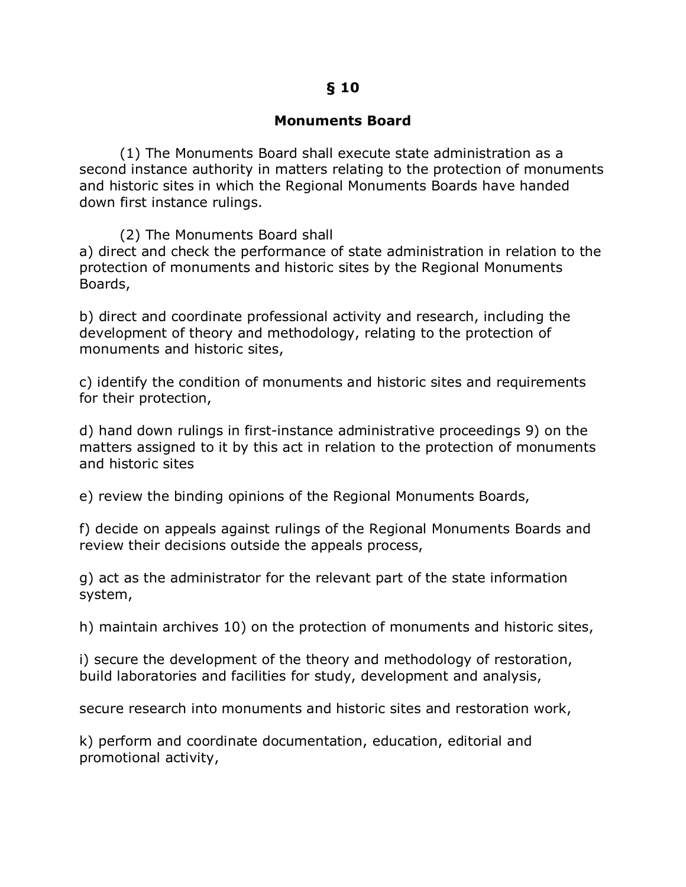### **§ 10**

### **Monuments Board**

(1) The Monuments Board shall execute state administration as a second instance authority in matters relating to the protection of monuments and historic sites in which the Regional Monuments Boards have handed down first instance rulings.

(2) The Monuments Board shall

a) direct and check the performance of state administration in relation to the protection of monuments and historic sites by the Regional Monuments Boards,

b) direct and coordinate professional activity and research, including the development of theory and methodology, relating to the protection of monuments and historic sites,

c) identify the condition of monuments and historic sites and requirements for their protection,

d) hand down rulings in first-instance administrative proceedings 9) on the matters assigned to it by this act in relation to the protection of monuments and historic sites

e) review the binding opinions of the Regional Monuments Boards,

f) decide on appeals against rulings of the Regional Monuments Boards and review their decisions outside the appeals process,

g) act as the administrator for the relevant part of the state information system,

h) maintain archives 10) on the protection of monuments and historic sites,

i) secure the development of the theory and methodology of restoration, build laboratories and facilities for study, development and analysis,

secure research into monuments and historic sites and restoration work,

k) perform and coordinate documentation, education, editorial and promotional activity,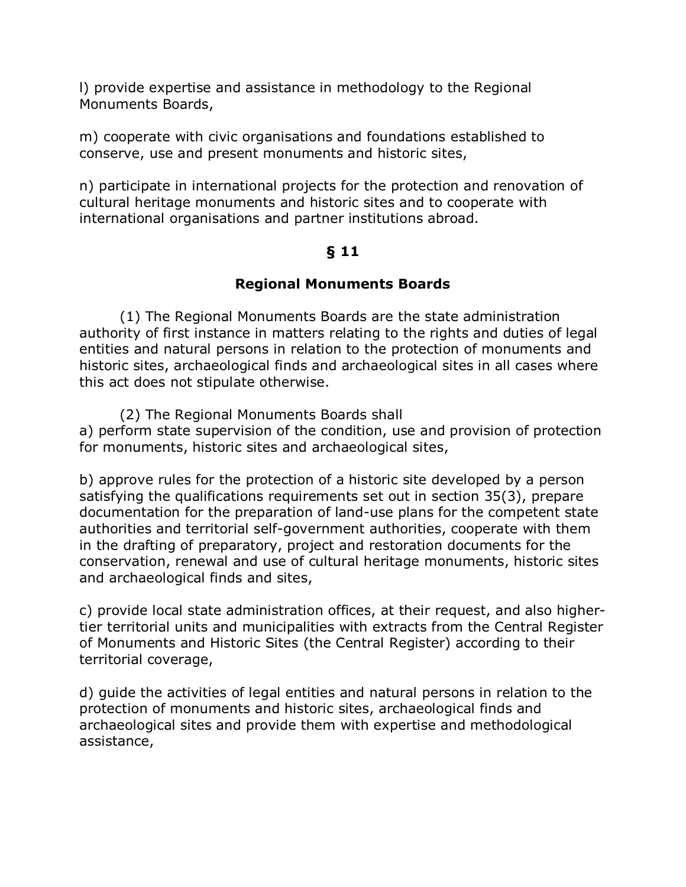l) provide expertise and assistance in methodology to the Regional Monuments Boards,

m) cooperate with civic organisations and foundations established to conserve, use and present monuments and historic sites,

n) participate in international projects for the protection and renovation of cultural heritage monuments and historic sites and to cooperate with international organisations and partner institutions abroad.

## **§ 11**

## **Regional Monuments Boards**

(1) The Regional Monuments Boards are the state administration authority of first instance in matters relating to the rights and duties of legal entities and natural persons in relation to the protection of monuments and historic sites, archaeological finds and archaeological sites in all cases where this act does not stipulate otherwise.

(2) The Regional Monuments Boards shall a) perform state supervision of the condition, use and provision of protection for monuments, historic sites and archaeological sites,

b) approve rules for the protection of a historic site developed by a person satisfying the qualifications requirements set out in section 35(3), prepare documentation for the preparation of land-use plans for the competent state authorities and territorial self-government authorities, cooperate with them in the drafting of preparatory, project and restoration documents for the conservation, renewal and use of cultural heritage monuments, historic sites and archaeological finds and sites,

c) provide local state administration offices, at their request, and also highertier territorial units and municipalities with extracts from the Central Register of Monuments and Historic Sites (the Central Register) according to their territorial coverage,

d) guide the activities of legal entities and natural persons in relation to the protection of monuments and historic sites, archaeological finds and archaeological sites and provide them with expertise and methodological assistance,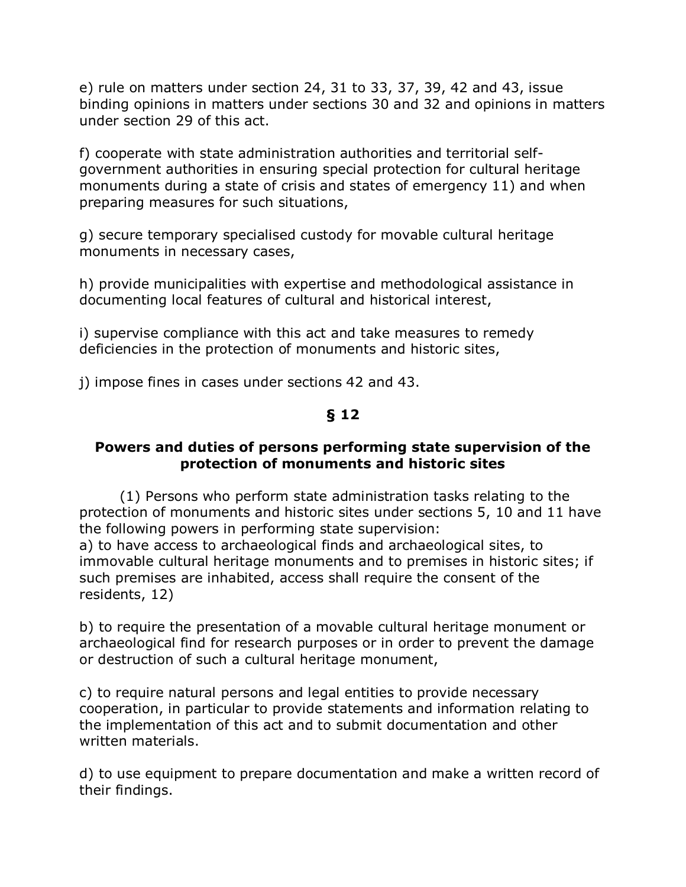e) rule on matters under section 24, 31 to 33, 37, 39, 42 and 43, issue binding opinions in matters under sections 30 and 32 and opinions in matters under section 29 of this act.

f) cooperate with state administration authorities and territorial selfgovernment authorities in ensuring special protection for cultural heritage monuments during a state of crisis and states of emergency 11) and when preparing measures for such situations,

g) secure temporary specialised custody for movable cultural heritage monuments in necessary cases,

h) provide municipalities with expertise and methodological assistance in documenting local features of cultural and historical interest,

i) supervise compliance with this act and take measures to remedy deficiencies in the protection of monuments and historic sites,

j) impose fines in cases under sections 42 and 43.

## **§ 12**

### **Powers and duties of persons performing state supervision of the protection of monuments and historic sites**

(1) Persons who perform state administration tasks relating to the protection of monuments and historic sites under sections 5, 10 and 11 have the following powers in performing state supervision: a) to have access to archaeological finds and archaeological sites, to

immovable cultural heritage monuments and to premises in historic sites; if such premises are inhabited, access shall require the consent of the residents, 12)

b) to require the presentation of a movable cultural heritage monument or archaeological find for research purposes or in order to prevent the damage or destruction of such a cultural heritage monument,

c) to require natural persons and legal entities to provide necessary cooperation, in particular to provide statements and information relating to the implementation of this act and to submit documentation and other written materials.

d) to use equipment to prepare documentation and make a written record of their findings.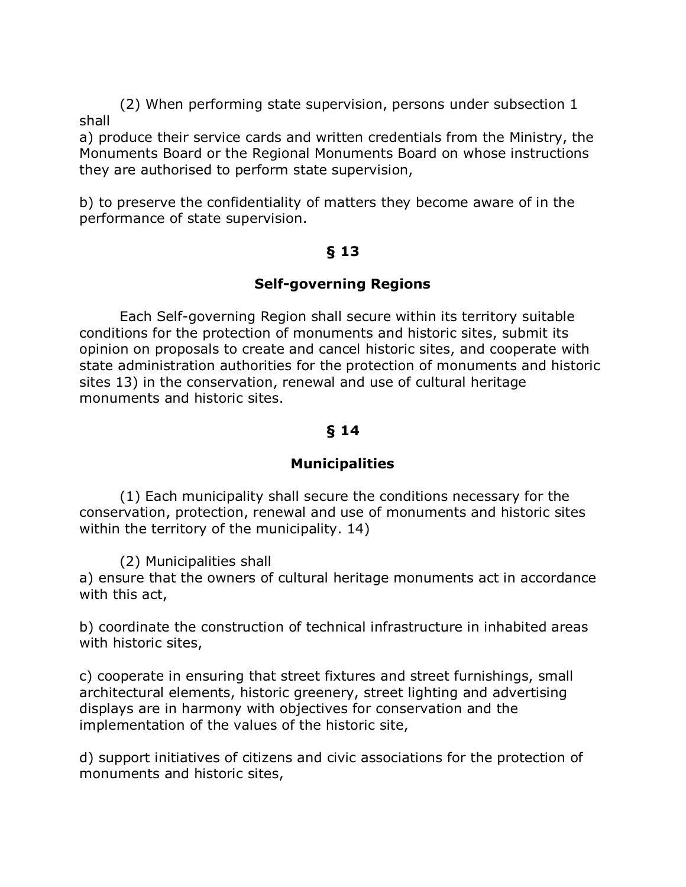(2) When performing state supervision, persons under subsection 1 shall

a) produce their service cards and written credentials from the Ministry, the Monuments Board or the Regional Monuments Board on whose instructions they are authorised to perform state supervision,

b) to preserve the confidentiality of matters they become aware of in the performance of state supervision.

### **§ 13**

### **Self-governing Regions**

Each Self-governing Region shall secure within its territory suitable conditions for the protection of monuments and historic sites, submit its opinion on proposals to create and cancel historic sites, and cooperate with state administration authorities for the protection of monuments and historic sites 13) in the conservation, renewal and use of cultural heritage monuments and historic sites.

## **§ 14**

## **Municipalities**

(1) Each municipality shall secure the conditions necessary for the conservation, protection, renewal and use of monuments and historic sites within the territory of the municipality. 14)

(2) Municipalities shall

a) ensure that the owners of cultural heritage monuments act in accordance with this act,

b) coordinate the construction of technical infrastructure in inhabited areas with historic sites,

c) cooperate in ensuring that street fixtures and street furnishings, small architectural elements, historic greenery, street lighting and advertising displays are in harmony with objectives for conservation and the implementation of the values of the historic site,

d) support initiatives of citizens and civic associations for the protection of monuments and historic sites,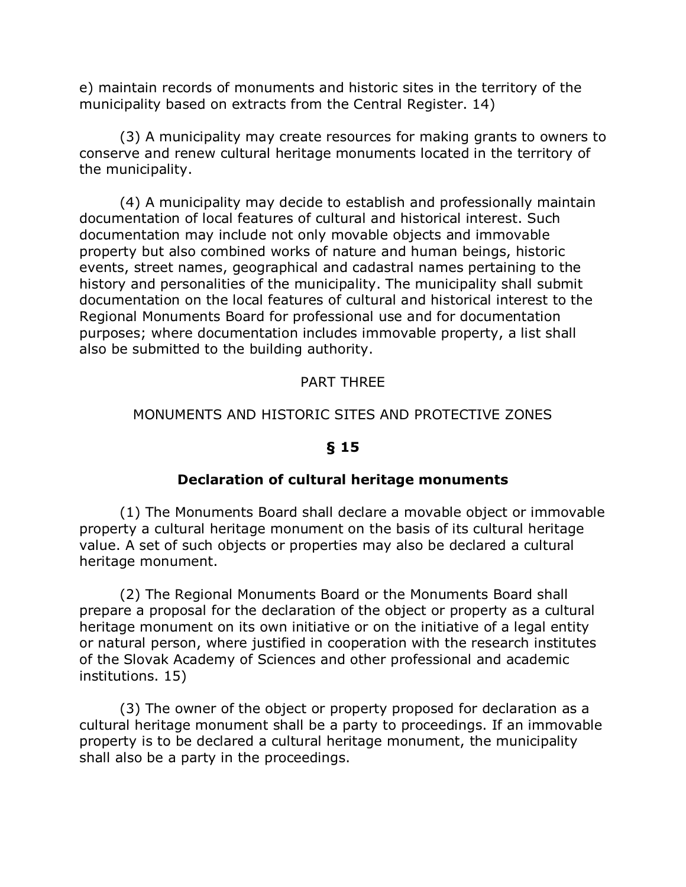e) maintain records of monuments and historic sites in the territory of the municipality based on extracts from the Central Register. 14)

(3) A municipality may create resources for making grants to owners to conserve and renew cultural heritage monuments located in the territory of the municipality.

(4) A municipality may decide to establish and professionally maintain documentation of local features of cultural and historical interest. Such documentation may include not only movable objects and immovable property but also combined works of nature and human beings, historic events, street names, geographical and cadastral names pertaining to the history and personalities of the municipality. The municipality shall submit documentation on the local features of cultural and historical interest to the Regional Monuments Board for professional use and for documentation purposes; where documentation includes immovable property, a list shall also be submitted to the building authority.

### PART THREE

### MONUMENTS AND HISTORIC SITES AND PROTECTIVE ZONES

### **§ 15**

### **Declaration of cultural heritage monuments**

(1) The Monuments Board shall declare a movable object or immovable property a cultural heritage monument on the basis of its cultural heritage value. A set of such objects or properties may also be declared a cultural heritage monument.

(2) The Regional Monuments Board or the Monuments Board shall prepare a proposal for the declaration of the object or property as a cultural heritage monument on its own initiative or on the initiative of a legal entity or natural person, where justified in cooperation with the research institutes of the Slovak Academy of Sciences and other professional and academic institutions. 15)

(3) The owner of the object or property proposed for declaration as a cultural heritage monument shall be a party to proceedings. If an immovable property is to be declared a cultural heritage monument, the municipality shall also be a party in the proceedings.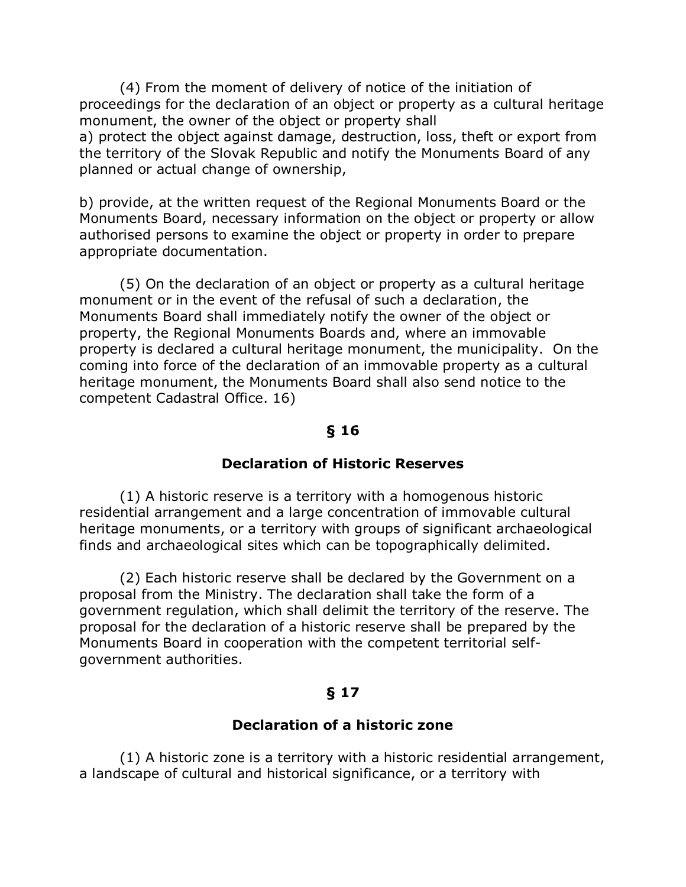(4) From the moment of delivery of notice of the initiation of proceedings for the declaration of an object or property as a cultural heritage monument, the owner of the object or property shall a) protect the object against damage, destruction, loss, theft or export from the territory of the Slovak Republic and notify the Monuments Board of any planned or actual change of ownership,

b) provide, at the written request of the Regional Monuments Board or the Monuments Board, necessary information on the object or property or allow authorised persons to examine the object or property in order to prepare appropriate documentation.

(5) On the declaration of an object or property as a cultural heritage monument or in the event of the refusal of such a declaration, the Monuments Board shall immediately notify the owner of the object or property, the Regional Monuments Boards and, where an immovable property is declared a cultural heritage monument, the municipality. On the coming into force of the declaration of an immovable property as a cultural heritage monument, the Monuments Board shall also send notice to the competent Cadastral Office. 16)

### **§ 16**

#### **Declaration of Historic Reserves**

(1) A historic reserve is a territory with a homogenous historic residential arrangement and a large concentration of immovable cultural heritage monuments, or a territory with groups of significant archaeological finds and archaeological sites which can be topographically delimited.

(2) Each historic reserve shall be declared by the Government on a proposal from the Ministry. The declaration shall take the form of a government regulation, which shall delimit the territory of the reserve. The proposal for the declaration of a historic reserve shall be prepared by the Monuments Board in cooperation with the competent territorial selfgovernment authorities.

### **§ 17**

### **Declaration of a historic zone**

(1) A historic zone is a territory with a historic residential arrangement, a landscape of cultural and historical significance, or a territory with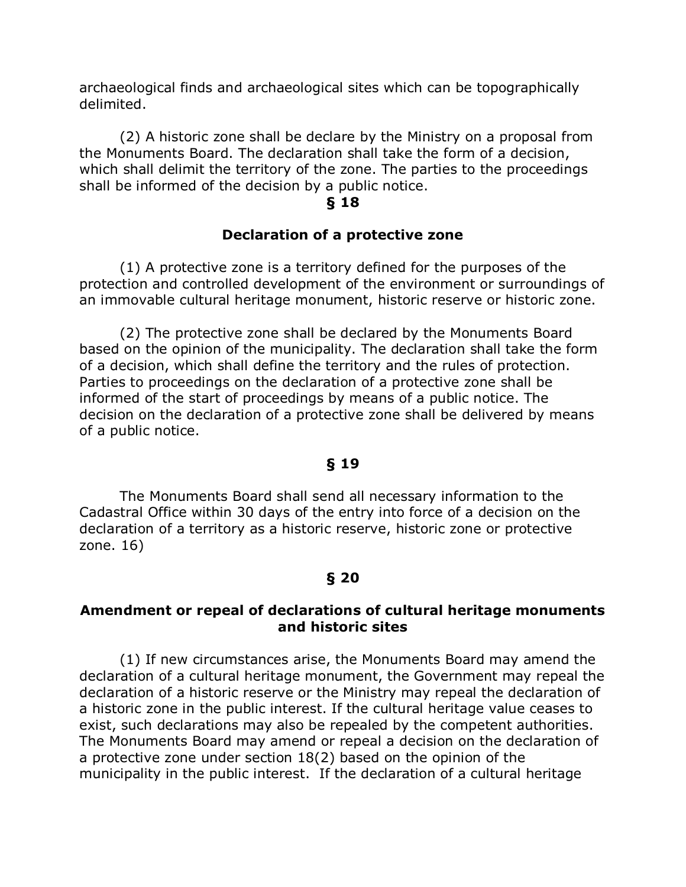archaeological finds and archaeological sites which can be topographically delimited.

(2) A historic zone shall be declare by the Ministry on a proposal from the Monuments Board. The declaration shall take the form of a decision, which shall delimit the territory of the zone. The parties to the proceedings shall be informed of the decision by a public notice.

#### **§ 18**

#### **Declaration of a protective zone**

(1) A protective zone is a territory defined for the purposes of the protection and controlled development of the environment or surroundings of an immovable cultural heritage monument, historic reserve or historic zone.

(2) The protective zone shall be declared by the Monuments Board based on the opinion of the municipality. The declaration shall take the form of a decision, which shall define the territory and the rules of protection. Parties to proceedings on the declaration of a protective zone shall be informed of the start of proceedings by means of a public notice. The decision on the declaration of a protective zone shall be delivered by means of a public notice.

#### **§ 19**

The Monuments Board shall send all necessary information to the Cadastral Office within 30 days of the entry into force of a decision on the declaration of a territory as a historic reserve, historic zone or protective zone. 16)

### **§ 20**

### **Amendment or repeal of declarations of cultural heritage monuments and historic sites**

(1) If new circumstances arise, the Monuments Board may amend the declaration of a cultural heritage monument, the Government may repeal the declaration of a historic reserve or the Ministry may repeal the declaration of a historic zone in the public interest. If the cultural heritage value ceases to exist, such declarations may also be repealed by the competent authorities. The Monuments Board may amend or repeal a decision on the declaration of a protective zone under section 18(2) based on the opinion of the municipality in the public interest. If the declaration of a cultural heritage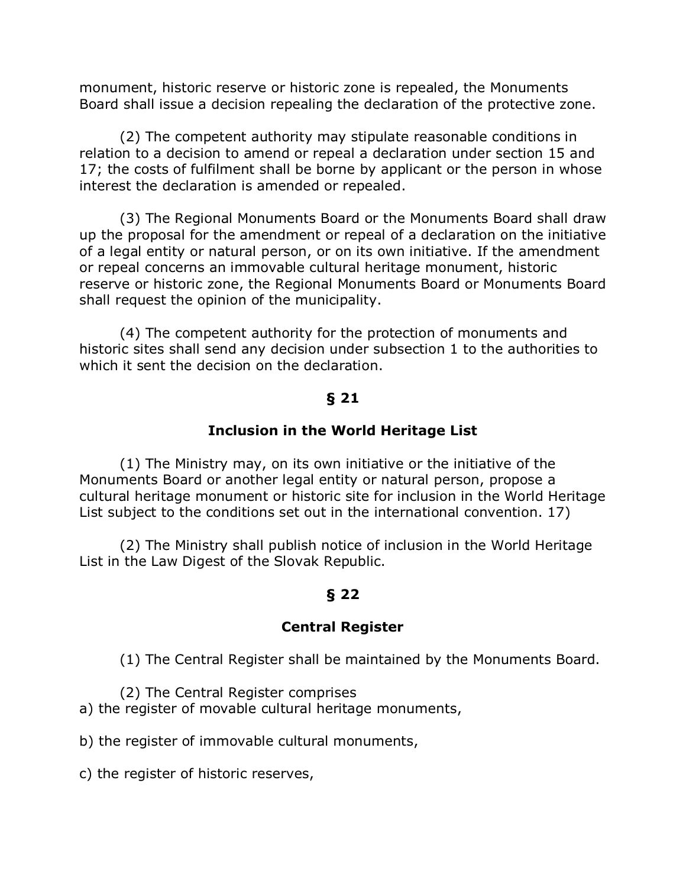monument, historic reserve or historic zone is repealed, the Monuments Board shall issue a decision repealing the declaration of the protective zone.

(2) The competent authority may stipulate reasonable conditions in relation to a decision to amend or repeal a declaration under section 15 and 17; the costs of fulfilment shall be borne by applicant or the person in whose interest the declaration is amended or repealed.

(3) The Regional Monuments Board or the Monuments Board shall draw up the proposal for the amendment or repeal of a declaration on the initiative of a legal entity or natural person, or on its own initiative. If the amendment or repeal concerns an immovable cultural heritage monument, historic reserve or historic zone, the Regional Monuments Board or Monuments Board shall request the opinion of the municipality.

(4) The competent authority for the protection of monuments and historic sites shall send any decision under subsection 1 to the authorities to which it sent the decision on the declaration.

### **§ 21**

### **Inclusion in the World Heritage List**

(1) The Ministry may, on its own initiative or the initiative of the Monuments Board or another legal entity or natural person, propose a cultural heritage monument or historic site for inclusion in the World Heritage List subject to the conditions set out in the international convention. 17)

(2) The Ministry shall publish notice of inclusion in the World Heritage List in the Law Digest of the Slovak Republic.

### **§ 22**

### **Central Register**

(1) The Central Register shall be maintained by the Monuments Board.

- (2) The Central Register comprises
- a) the register of movable cultural heritage monuments,
- b) the register of immovable cultural monuments,
- c) the register of historic reserves,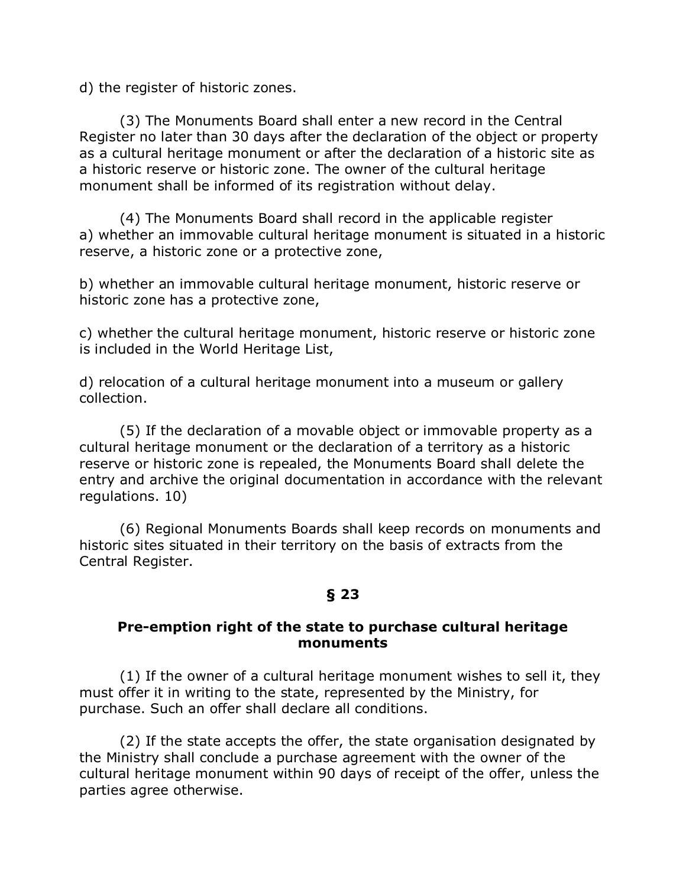d) the register of historic zones.

(3) The Monuments Board shall enter a new record in the Central Register no later than 30 days after the declaration of the object or property as a cultural heritage monument or after the declaration of a historic site as a historic reserve or historic zone. The owner of the cultural heritage monument shall be informed of its registration without delay.

(4) The Monuments Board shall record in the applicable register a) whether an immovable cultural heritage monument is situated in a historic reserve, a historic zone or a protective zone,

b) whether an immovable cultural heritage monument, historic reserve or historic zone has a protective zone,

c) whether the cultural heritage monument, historic reserve or historic zone is included in the World Heritage List,

d) relocation of a cultural heritage monument into a museum or gallery collection.

(5) If the declaration of a movable object or immovable property as a cultural heritage monument or the declaration of a territory as a historic reserve or historic zone is repealed, the Monuments Board shall delete the entry and archive the original documentation in accordance with the relevant regulations. 10)

(6) Regional Monuments Boards shall keep records on monuments and historic sites situated in their territory on the basis of extracts from the Central Register.

## **§ 23**

### **Pre-emption right of the state to purchase cultural heritage monuments**

(1) If the owner of a cultural heritage monument wishes to sell it, they must offer it in writing to the state, represented by the Ministry, for purchase. Such an offer shall declare all conditions.

(2) If the state accepts the offer, the state organisation designated by the Ministry shall conclude a purchase agreement with the owner of the cultural heritage monument within 90 days of receipt of the offer, unless the parties agree otherwise.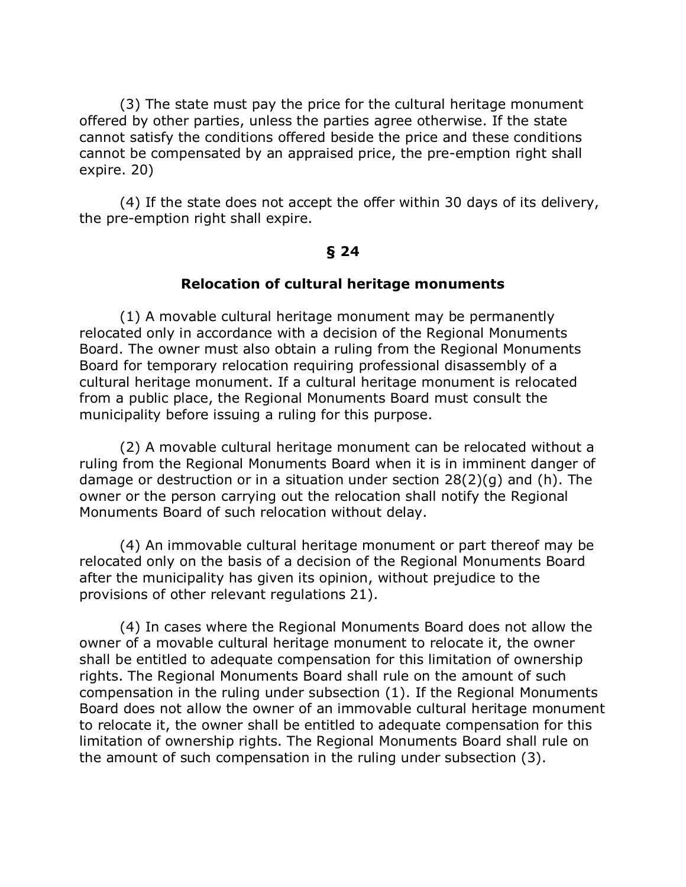(3) The state must pay the price for the cultural heritage monument offered by other parties, unless the parties agree otherwise. If the state cannot satisfy the conditions offered beside the price and these conditions cannot be compensated by an appraised price, the pre-emption right shall expire. 20)

(4) If the state does not accept the offer within 30 days of its delivery, the pre-emption right shall expire.

#### **§ 24**

#### **Relocation of cultural heritage monuments**

(1) A movable cultural heritage monument may be permanently relocated only in accordance with a decision of the Regional Monuments Board. The owner must also obtain a ruling from the Regional Monuments Board for temporary relocation requiring professional disassembly of a cultural heritage monument. If a cultural heritage monument is relocated from a public place, the Regional Monuments Board must consult the municipality before issuing a ruling for this purpose.

(2) A movable cultural heritage monument can be relocated without a ruling from the Regional Monuments Board when it is in imminent danger of damage or destruction or in a situation under section 28(2)(g) and (h). The owner or the person carrying out the relocation shall notify the Regional Monuments Board of such relocation without delay.

(4) An immovable cultural heritage monument or part thereof may be relocated only on the basis of a decision of the Regional Monuments Board after the municipality has given its opinion, without prejudice to the provisions of other relevant regulations 21).

(4) In cases where the Regional Monuments Board does not allow the owner of a movable cultural heritage monument to relocate it, the owner shall be entitled to adequate compensation for this limitation of ownership rights. The Regional Monuments Board shall rule on the amount of such compensation in the ruling under subsection (1). If the Regional Monuments Board does not allow the owner of an immovable cultural heritage monument to relocate it, the owner shall be entitled to adequate compensation for this limitation of ownership rights. The Regional Monuments Board shall rule on the amount of such compensation in the ruling under subsection (3).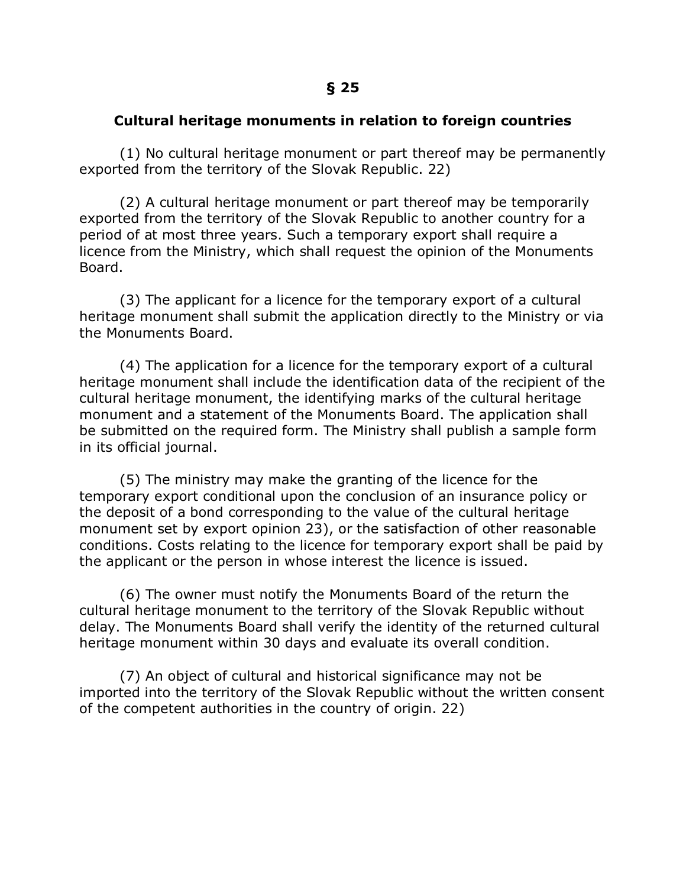#### **Cultural heritage monuments in relation to foreign countries**

(1) No cultural heritage monument or part thereof may be permanently exported from the territory of the Slovak Republic. 22)

(2) A cultural heritage monument or part thereof may be temporarily exported from the territory of the Slovak Republic to another country for a period of at most three years. Such a temporary export shall require a licence from the Ministry, which shall request the opinion of the Monuments Board.

(3) The applicant for a licence for the temporary export of a cultural heritage monument shall submit the application directly to the Ministry or via the Monuments Board.

(4) The application for a licence for the temporary export of a cultural heritage monument shall include the identification data of the recipient of the cultural heritage monument, the identifying marks of the cultural heritage monument and a statement of the Monuments Board. The application shall be submitted on the required form. The Ministry shall publish a sample form in its official journal.

(5) The ministry may make the granting of the licence for the temporary export conditional upon the conclusion of an insurance policy or the deposit of a bond corresponding to the value of the cultural heritage monument set by export opinion 23), or the satisfaction of other reasonable conditions. Costs relating to the licence for temporary export shall be paid by the applicant or the person in whose interest the licence is issued.

(6) The owner must notify the Monuments Board of the return the cultural heritage monument to the territory of the Slovak Republic without delay. The Monuments Board shall verify the identity of the returned cultural heritage monument within 30 days and evaluate its overall condition.

(7) An object of cultural and historical significance may not be imported into the territory of the Slovak Republic without the written consent of the competent authorities in the country of origin. 22)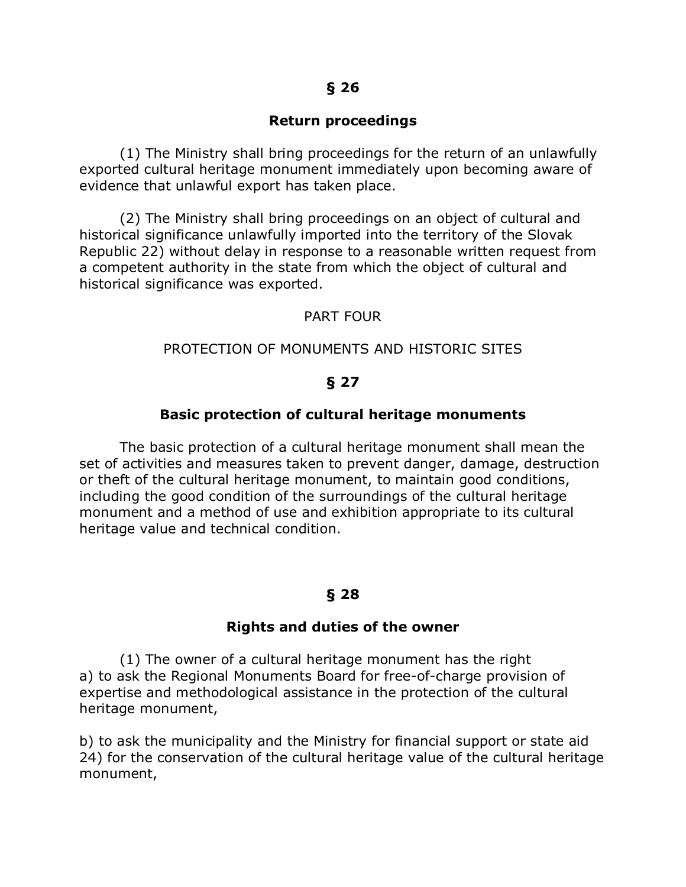#### **Return proceedings**

(1) The Ministry shall bring proceedings for the return of an unlawfully exported cultural heritage monument immediately upon becoming aware of evidence that unlawful export has taken place.

(2) The Ministry shall bring proceedings on an object of cultural and historical significance unlawfully imported into the territory of the Slovak Republic 22) without delay in response to a reasonable written request from a competent authority in the state from which the object of cultural and historical significance was exported.

#### PART FOUR

#### PROTECTION OF MONUMENTS AND HISTORIC SITES

#### **§ 27**

#### **Basic protection of cultural heritage monuments**

The basic protection of a cultural heritage monument shall mean the set of activities and measures taken to prevent danger, damage, destruction or theft of the cultural heritage monument, to maintain good conditions, including the good condition of the surroundings of the cultural heritage monument and a method of use and exhibition appropriate to its cultural heritage value and technical condition.

### **§ 28**

#### **Rights and duties of the owner**

(1) The owner of a cultural heritage monument has the right a) to ask the Regional Monuments Board for free-of-charge provision of expertise and methodological assistance in the protection of the cultural heritage monument,

b) to ask the municipality and the Ministry for financial support or state aid 24) for the conservation of the cultural heritage value of the cultural heritage monument,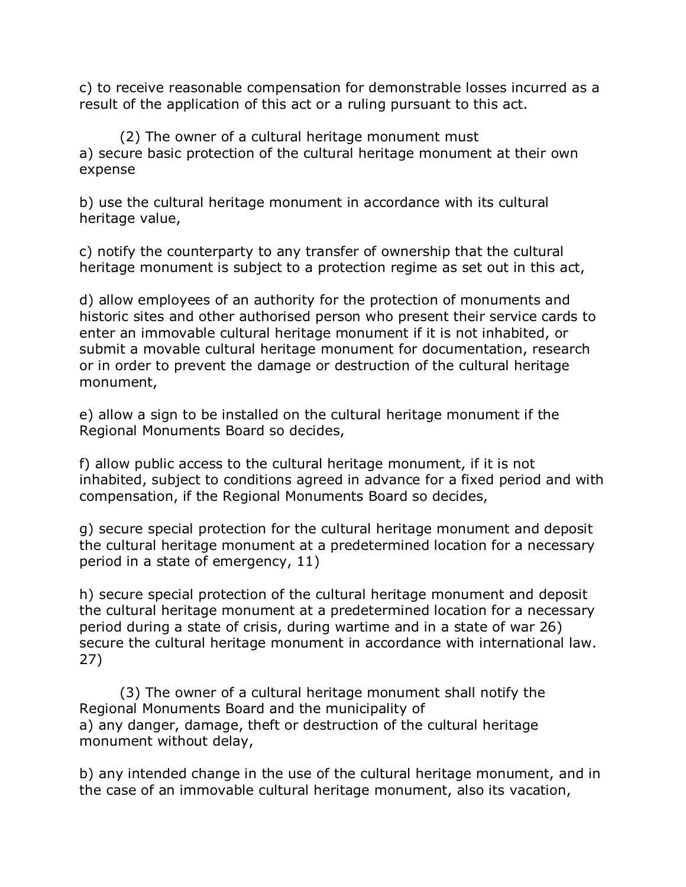c) to receive reasonable compensation for demonstrable losses incurred as a result of the application of this act or a ruling pursuant to this act.

(2) The owner of a cultural heritage monument must a) secure basic protection of the cultural heritage monument at their own expense

b) use the cultural heritage monument in accordance with its cultural heritage value,

c) notify the counterparty to any transfer of ownership that the cultural heritage monument is subject to a protection regime as set out in this act,

d) allow employees of an authority for the protection of monuments and historic sites and other authorised person who present their service cards to enter an immovable cultural heritage monument if it is not inhabited, or submit a movable cultural heritage monument for documentation, research or in order to prevent the damage or destruction of the cultural heritage monument,

e) allow a sign to be installed on the cultural heritage monument if the Regional Monuments Board so decides,

f) allow public access to the cultural heritage monument, if it is not inhabited, subject to conditions agreed in advance for a fixed period and with compensation, if the Regional Monuments Board so decides,

g) secure special protection for the cultural heritage monument and deposit the cultural heritage monument at a predetermined location for a necessary period in a state of emergency, 11)

h) secure special protection of the cultural heritage monument and deposit the cultural heritage monument at a predetermined location for a necessary period during a state of crisis, during wartime and in a state of war 26) secure the cultural heritage monument in accordance with international law. 27)

(3) The owner of a cultural heritage monument shall notify the Regional Monuments Board and the municipality of a) any danger, damage, theft or destruction of the cultural heritage monument without delay,

b) any intended change in the use of the cultural heritage monument, and in the case of an immovable cultural heritage monument, also its vacation,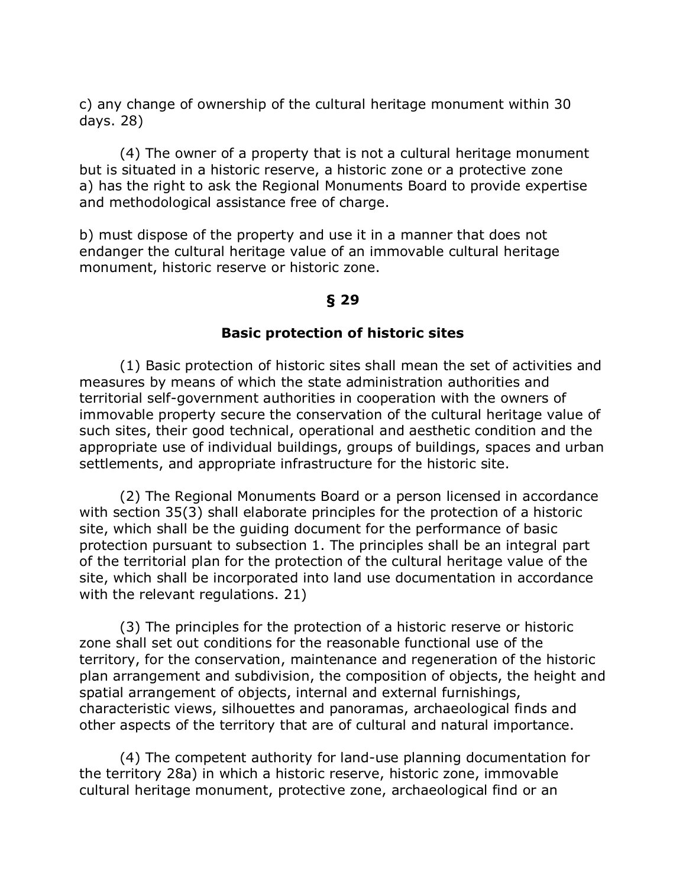c) any change of ownership of the cultural heritage monument within 30 days. 28)

(4) The owner of a property that is not a cultural heritage monument but is situated in a historic reserve, a historic zone or a protective zone a) has the right to ask the Regional Monuments Board to provide expertise and methodological assistance free of charge.

b) must dispose of the property and use it in a manner that does not endanger the cultural heritage value of an immovable cultural heritage monument, historic reserve or historic zone.

#### **§ 29**

#### **Basic protection of historic sites**

(1) Basic protection of historic sites shall mean the set of activities and measures by means of which the state administration authorities and territorial self-government authorities in cooperation with the owners of immovable property secure the conservation of the cultural heritage value of such sites, their good technical, operational and aesthetic condition and the appropriate use of individual buildings, groups of buildings, spaces and urban settlements, and appropriate infrastructure for the historic site.

(2) The Regional Monuments Board or a person licensed in accordance with section 35(3) shall elaborate principles for the protection of a historic site, which shall be the guiding document for the performance of basic protection pursuant to subsection 1. The principles shall be an integral part of the territorial plan for the protection of the cultural heritage value of the site, which shall be incorporated into land use documentation in accordance with the relevant regulations. 21)

(3) The principles for the protection of a historic reserve or historic zone shall set out conditions for the reasonable functional use of the territory, for the conservation, maintenance and regeneration of the historic plan arrangement and subdivision, the composition of objects, the height and spatial arrangement of objects, internal and external furnishings, characteristic views, silhouettes and panoramas, archaeological finds and other aspects of the territory that are of cultural and natural importance.

(4) The competent authority for land-use planning documentation for the territory 28a) in which a historic reserve, historic zone, immovable cultural heritage monument, protective zone, archaeological find or an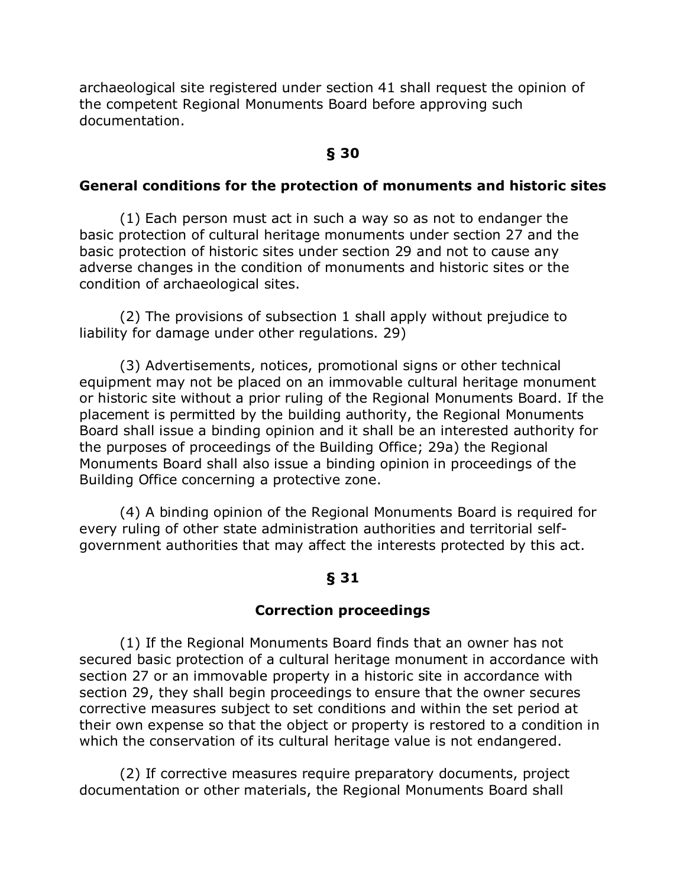archaeological site registered under section 41 shall request the opinion of the competent Regional Monuments Board before approving such documentation.

### **§ 30**

### **General conditions for the protection of monuments and historic sites**

(1) Each person must act in such a way so as not to endanger the basic protection of cultural heritage monuments under section 27 and the basic protection of historic sites under section 29 and not to cause any adverse changes in the condition of monuments and historic sites or the condition of archaeological sites.

(2) The provisions of subsection 1 shall apply without prejudice to liability for damage under other regulations. 29)

(3) Advertisements, notices, promotional signs or other technical equipment may not be placed on an immovable cultural heritage monument or historic site without a prior ruling of the Regional Monuments Board. If the placement is permitted by the building authority, the Regional Monuments Board shall issue a binding opinion and it shall be an interested authority for the purposes of proceedings of the Building Office; 29a) the Regional Monuments Board shall also issue a binding opinion in proceedings of the Building Office concerning a protective zone.

(4) A binding opinion of the Regional Monuments Board is required for every ruling of other state administration authorities and territorial selfgovernment authorities that may affect the interests protected by this act.

### **§ 31**

#### **Correction proceedings**

(1) If the Regional Monuments Board finds that an owner has not secured basic protection of a cultural heritage monument in accordance with section 27 or an immovable property in a historic site in accordance with section 29, they shall begin proceedings to ensure that the owner secures corrective measures subject to set conditions and within the set period at their own expense so that the object or property is restored to a condition in which the conservation of its cultural heritage value is not endangered.

(2) If corrective measures require preparatory documents, project documentation or other materials, the Regional Monuments Board shall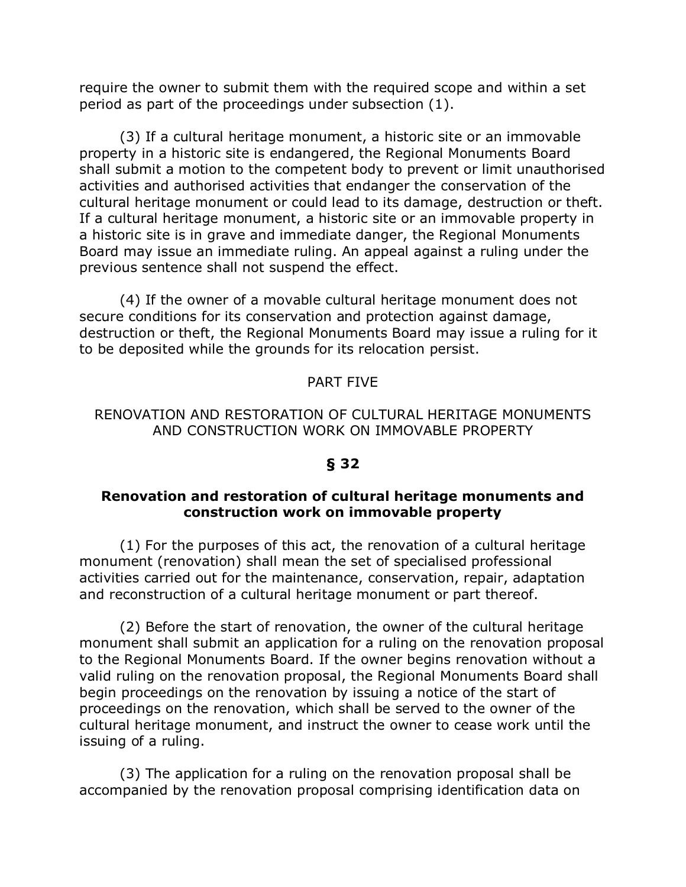require the owner to submit them with the required scope and within a set period as part of the proceedings under subsection (1).

(3) If a cultural heritage monument, a historic site or an immovable property in a historic site is endangered, the Regional Monuments Board shall submit a motion to the competent body to prevent or limit unauthorised activities and authorised activities that endanger the conservation of the cultural heritage monument or could lead to its damage, destruction or theft. If a cultural heritage monument, a historic site or an immovable property in a historic site is in grave and immediate danger, the Regional Monuments Board may issue an immediate ruling. An appeal against a ruling under the previous sentence shall not suspend the effect.

(4) If the owner of a movable cultural heritage monument does not secure conditions for its conservation and protection against damage, destruction or theft, the Regional Monuments Board may issue a ruling for it to be deposited while the grounds for its relocation persist.

### PART FIVE

### RENOVATION AND RESTORATION OF CULTURAL HERITAGE MONUMENTS AND CONSTRUCTION WORK ON IMMOVABLE PROPERTY

### **§ 32**

#### **Renovation and restoration of cultural heritage monuments and construction work on immovable property**

(1) For the purposes of this act, the renovation of a cultural heritage monument (renovation) shall mean the set of specialised professional activities carried out for the maintenance, conservation, repair, adaptation and reconstruction of a cultural heritage monument or part thereof.

(2) Before the start of renovation, the owner of the cultural heritage monument shall submit an application for a ruling on the renovation proposal to the Regional Monuments Board. If the owner begins renovation without a valid ruling on the renovation proposal, the Regional Monuments Board shall begin proceedings on the renovation by issuing a notice of the start of proceedings on the renovation, which shall be served to the owner of the cultural heritage monument, and instruct the owner to cease work until the issuing of a ruling.

(3) The application for a ruling on the renovation proposal shall be accompanied by the renovation proposal comprising identification data on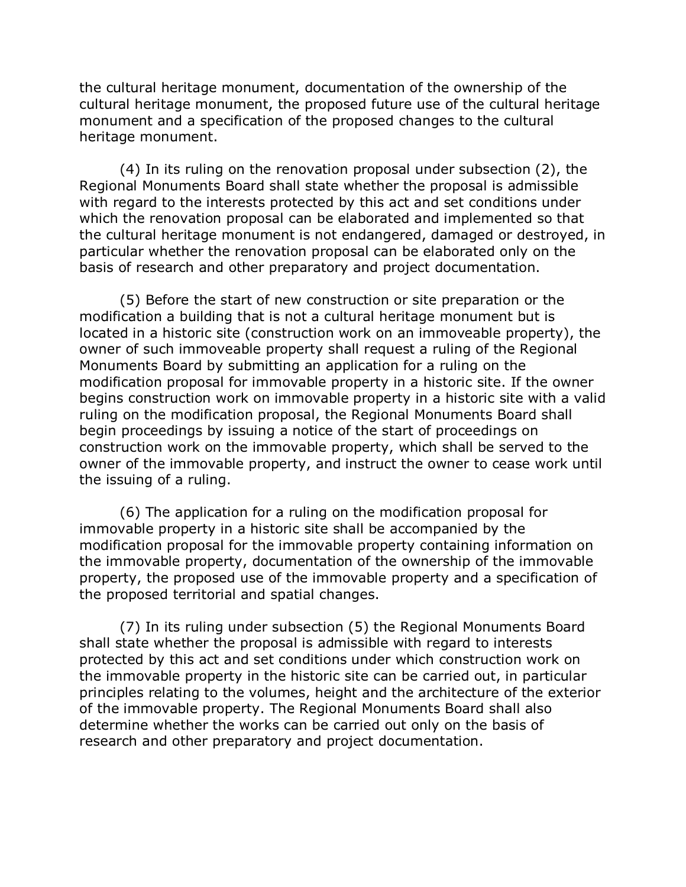the cultural heritage monument, documentation of the ownership of the cultural heritage monument, the proposed future use of the cultural heritage monument and a specification of the proposed changes to the cultural heritage monument.

(4) In its ruling on the renovation proposal under subsection (2), the Regional Monuments Board shall state whether the proposal is admissible with regard to the interests protected by this act and set conditions under which the renovation proposal can be elaborated and implemented so that the cultural heritage monument is not endangered, damaged or destroyed, in particular whether the renovation proposal can be elaborated only on the basis of research and other preparatory and project documentation.

(5) Before the start of new construction or site preparation or the modification a building that is not a cultural heritage monument but is located in a historic site (construction work on an immoveable property), the owner of such immoveable property shall request a ruling of the Regional Monuments Board by submitting an application for a ruling on the modification proposal for immovable property in a historic site. If the owner begins construction work on immovable property in a historic site with a valid ruling on the modification proposal, the Regional Monuments Board shall begin proceedings by issuing a notice of the start of proceedings on construction work on the immovable property, which shall be served to the owner of the immovable property, and instruct the owner to cease work until the issuing of a ruling.

(6) The application for a ruling on the modification proposal for immovable property in a historic site shall be accompanied by the modification proposal for the immovable property containing information on the immovable property, documentation of the ownership of the immovable property, the proposed use of the immovable property and a specification of the proposed territorial and spatial changes.

(7) In its ruling under subsection (5) the Regional Monuments Board shall state whether the proposal is admissible with regard to interests protected by this act and set conditions under which construction work on the immovable property in the historic site can be carried out, in particular principles relating to the volumes, height and the architecture of the exterior of the immovable property. The Regional Monuments Board shall also determine whether the works can be carried out only on the basis of research and other preparatory and project documentation.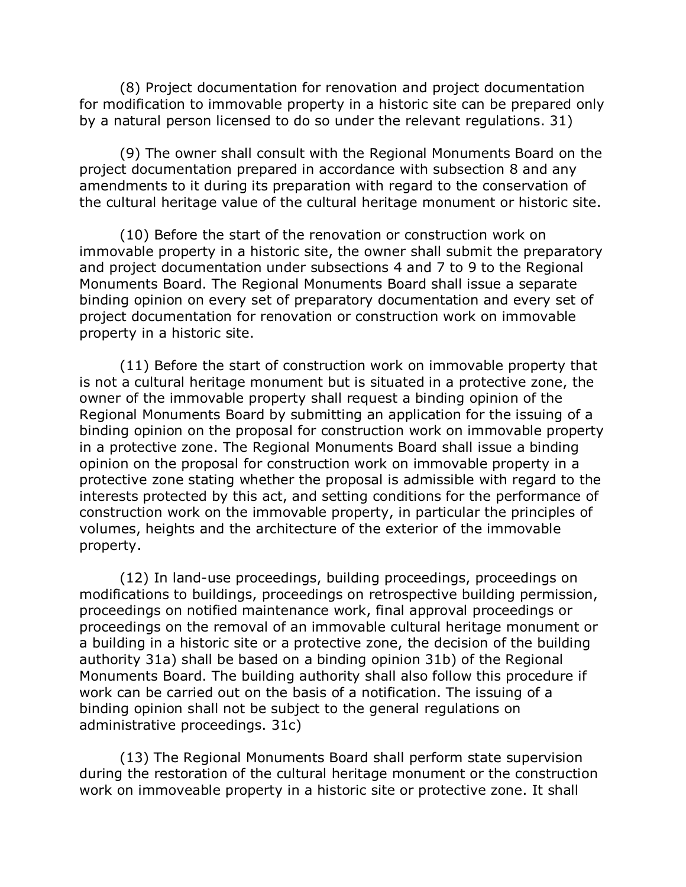(8) Project documentation for renovation and project documentation for modification to immovable property in a historic site can be prepared only by a natural person licensed to do so under the relevant regulations. 31)

(9) The owner shall consult with the Regional Monuments Board on the project documentation prepared in accordance with subsection 8 and any amendments to it during its preparation with regard to the conservation of the cultural heritage value of the cultural heritage monument or historic site.

(10) Before the start of the renovation or construction work on immovable property in a historic site, the owner shall submit the preparatory and project documentation under subsections 4 and 7 to 9 to the Regional Monuments Board. The Regional Monuments Board shall issue a separate binding opinion on every set of preparatory documentation and every set of project documentation for renovation or construction work on immovable property in a historic site.

(11) Before the start of construction work on immovable property that is not a cultural heritage monument but is situated in a protective zone, the owner of the immovable property shall request a binding opinion of the Regional Monuments Board by submitting an application for the issuing of a binding opinion on the proposal for construction work on immovable property in a protective zone. The Regional Monuments Board shall issue a binding opinion on the proposal for construction work on immovable property in a protective zone stating whether the proposal is admissible with regard to the interests protected by this act, and setting conditions for the performance of construction work on the immovable property, in particular the principles of volumes, heights and the architecture of the exterior of the immovable property.

(12) In land-use proceedings, building proceedings, proceedings on modifications to buildings, proceedings on retrospective building permission, proceedings on notified maintenance work, final approval proceedings or proceedings on the removal of an immovable cultural heritage monument or a building in a historic site or a protective zone, the decision of the building authority 31a) shall be based on a binding opinion 31b) of the Regional Monuments Board. The building authority shall also follow this procedure if work can be carried out on the basis of a notification. The issuing of a binding opinion shall not be subject to the general regulations on administrative proceedings. 31c)

(13) The Regional Monuments Board shall perform state supervision during the restoration of the cultural heritage monument or the construction work on immoveable property in a historic site or protective zone. It shall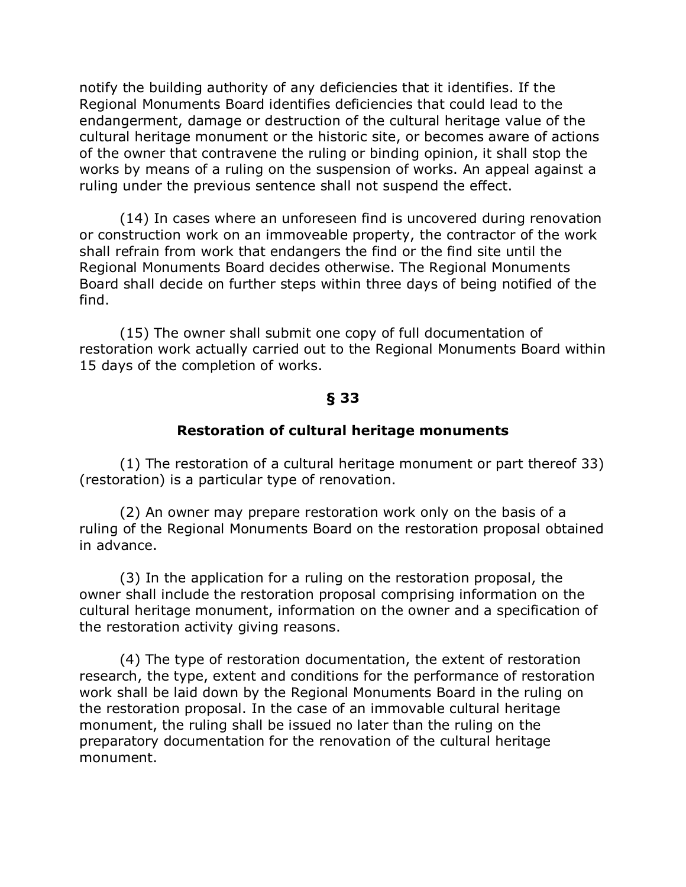notify the building authority of any deficiencies that it identifies. If the Regional Monuments Board identifies deficiencies that could lead to the endangerment, damage or destruction of the cultural heritage value of the cultural heritage monument or the historic site, or becomes aware of actions of the owner that contravene the ruling or binding opinion, it shall stop the works by means of a ruling on the suspension of works. An appeal against a ruling under the previous sentence shall not suspend the effect.

(14) In cases where an unforeseen find is uncovered during renovation or construction work on an immoveable property, the contractor of the work shall refrain from work that endangers the find or the find site until the Regional Monuments Board decides otherwise. The Regional Monuments Board shall decide on further steps within three days of being notified of the find.

(15) The owner shall submit one copy of full documentation of restoration work actually carried out to the Regional Monuments Board within 15 days of the completion of works.

#### **§ 33**

#### **Restoration of cultural heritage monuments**

(1) The restoration of a cultural heritage monument or part thereof 33) (restoration) is a particular type of renovation.

(2) An owner may prepare restoration work only on the basis of a ruling of the Regional Monuments Board on the restoration proposal obtained in advance.

(3) In the application for a ruling on the restoration proposal, the owner shall include the restoration proposal comprising information on the cultural heritage monument, information on the owner and a specification of the restoration activity giving reasons.

(4) The type of restoration documentation, the extent of restoration research, the type, extent and conditions for the performance of restoration work shall be laid down by the Regional Monuments Board in the ruling on the restoration proposal. In the case of an immovable cultural heritage monument, the ruling shall be issued no later than the ruling on the preparatory documentation for the renovation of the cultural heritage monument.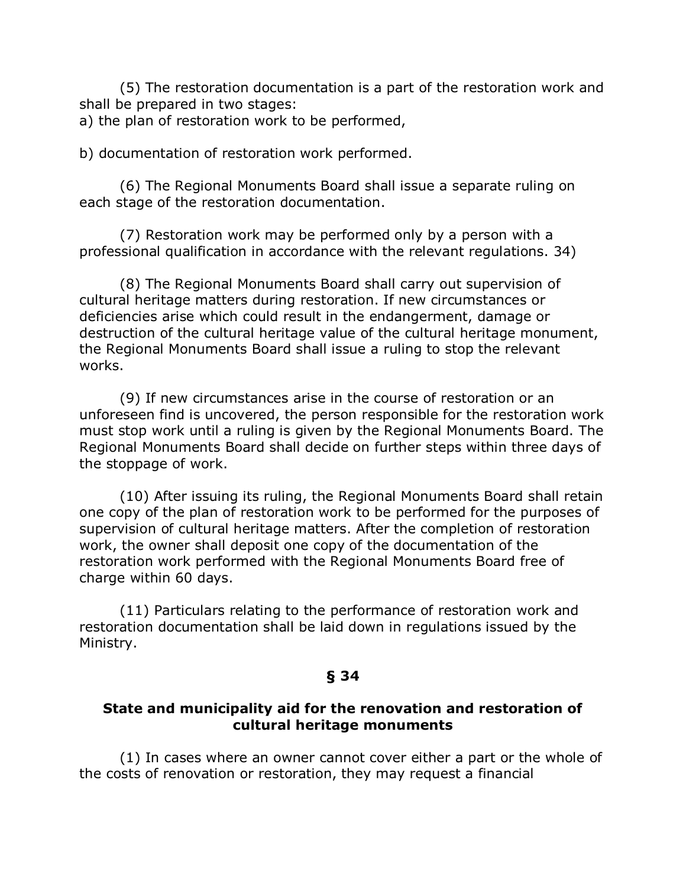(5) The restoration documentation is a part of the restoration work and shall be prepared in two stages:

a) the plan of restoration work to be performed,

b) documentation of restoration work performed.

(6) The Regional Monuments Board shall issue a separate ruling on each stage of the restoration documentation.

(7) Restoration work may be performed only by a person with a professional qualification in accordance with the relevant regulations. 34)

(8) The Regional Monuments Board shall carry out supervision of cultural heritage matters during restoration. If new circumstances or deficiencies arise which could result in the endangerment, damage or destruction of the cultural heritage value of the cultural heritage monument, the Regional Monuments Board shall issue a ruling to stop the relevant works.

(9) If new circumstances arise in the course of restoration or an unforeseen find is uncovered, the person responsible for the restoration work must stop work until a ruling is given by the Regional Monuments Board. The Regional Monuments Board shall decide on further steps within three days of the stoppage of work.

(10) After issuing its ruling, the Regional Monuments Board shall retain one copy of the plan of restoration work to be performed for the purposes of supervision of cultural heritage matters. After the completion of restoration work, the owner shall deposit one copy of the documentation of the restoration work performed with the Regional Monuments Board free of charge within 60 days.

(11) Particulars relating to the performance of restoration work and restoration documentation shall be laid down in regulations issued by the Ministry.

### **§ 34**

### **State and municipality aid for the renovation and restoration of cultural heritage monuments**

(1) In cases where an owner cannot cover either a part or the whole of the costs of renovation or restoration, they may request a financial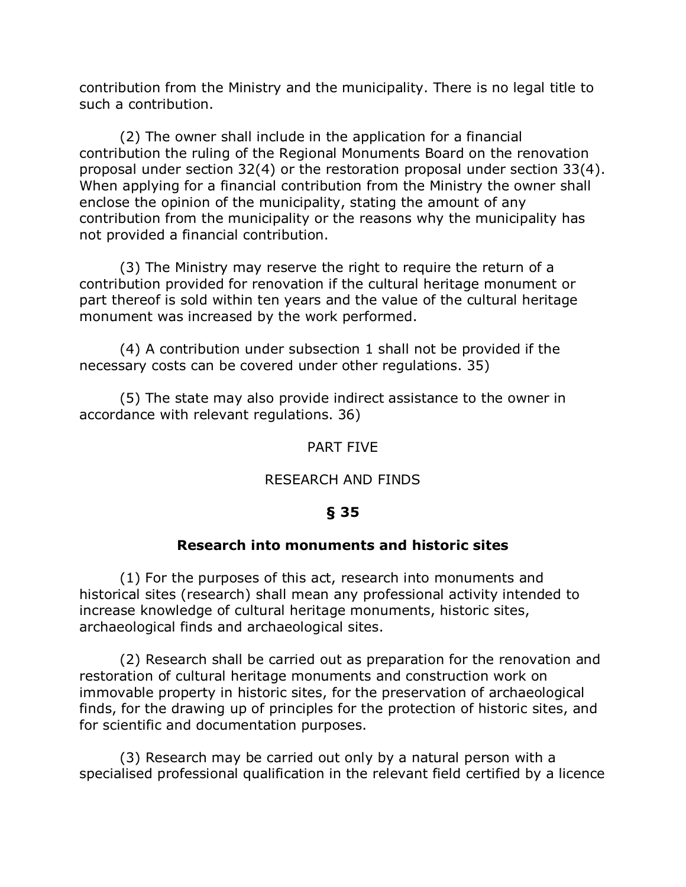contribution from the Ministry and the municipality. There is no legal title to such a contribution.

(2) The owner shall include in the application for a financial contribution the ruling of the Regional Monuments Board on the renovation proposal under section 32(4) or the restoration proposal under section 33(4). When applying for a financial contribution from the Ministry the owner shall enclose the opinion of the municipality, stating the amount of any contribution from the municipality or the reasons why the municipality has not provided a financial contribution.

(3) The Ministry may reserve the right to require the return of a contribution provided for renovation if the cultural heritage monument or part thereof is sold within ten years and the value of the cultural heritage monument was increased by the work performed.

(4) A contribution under subsection 1 shall not be provided if the necessary costs can be covered under other regulations. 35)

(5) The state may also provide indirect assistance to the owner in accordance with relevant regulations. 36)

### PART FIVE

### RESEARCH AND FINDS

## **§ 35**

### **Research into monuments and historic sites**

(1) For the purposes of this act, research into monuments and historical sites (research) shall mean any professional activity intended to increase knowledge of cultural heritage monuments, historic sites, archaeological finds and archaeological sites.

(2) Research shall be carried out as preparation for the renovation and restoration of cultural heritage monuments and construction work on immovable property in historic sites, for the preservation of archaeological finds, for the drawing up of principles for the protection of historic sites, and for scientific and documentation purposes.

(3) Research may be carried out only by a natural person with a specialised professional qualification in the relevant field certified by a licence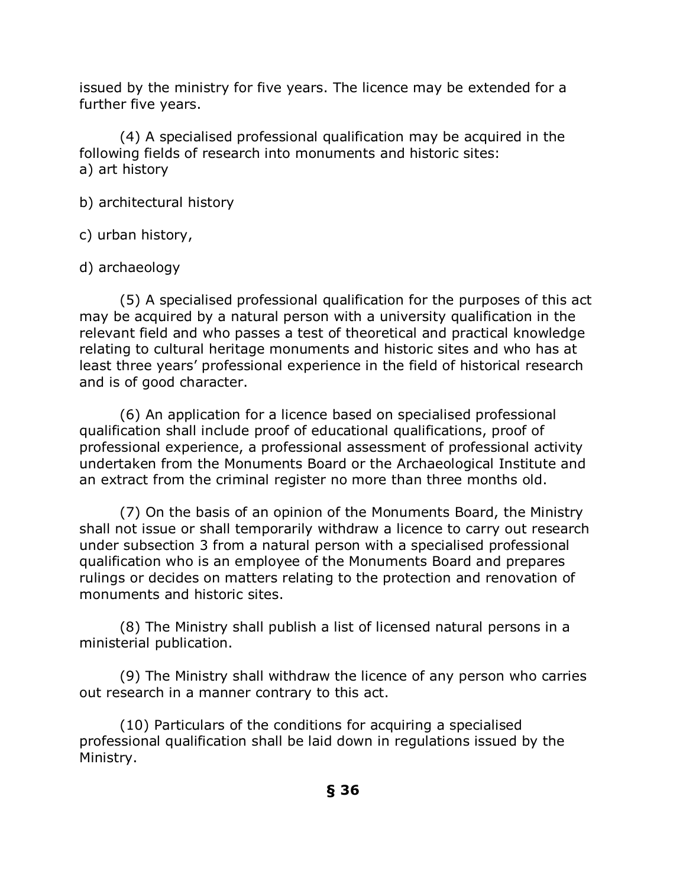issued by the ministry for five years. The licence may be extended for a further five years.

(4) A specialised professional qualification may be acquired in the following fields of research into monuments and historic sites: a) art history

b) architectural history

c) urban history,

## d) archaeology

(5) A specialised professional qualification for the purposes of this act may be acquired by a natural person with a university qualification in the relevant field and who passes a test of theoretical and practical knowledge relating to cultural heritage monuments and historic sites and who has at least three years' professional experience in the field of historical research and is of good character.

(6) An application for a licence based on specialised professional qualification shall include proof of educational qualifications, proof of professional experience, a professional assessment of professional activity undertaken from the Monuments Board or the Archaeological Institute and an extract from the criminal register no more than three months old.

(7) On the basis of an opinion of the Monuments Board, the Ministry shall not issue or shall temporarily withdraw a licence to carry out research under subsection 3 from a natural person with a specialised professional qualification who is an employee of the Monuments Board and prepares rulings or decides on matters relating to the protection and renovation of monuments and historic sites.

(8) The Ministry shall publish a list of licensed natural persons in a ministerial publication.

(9) The Ministry shall withdraw the licence of any person who carries out research in a manner contrary to this act.

(10) Particulars of the conditions for acquiring a specialised professional qualification shall be laid down in regulations issued by the Ministry.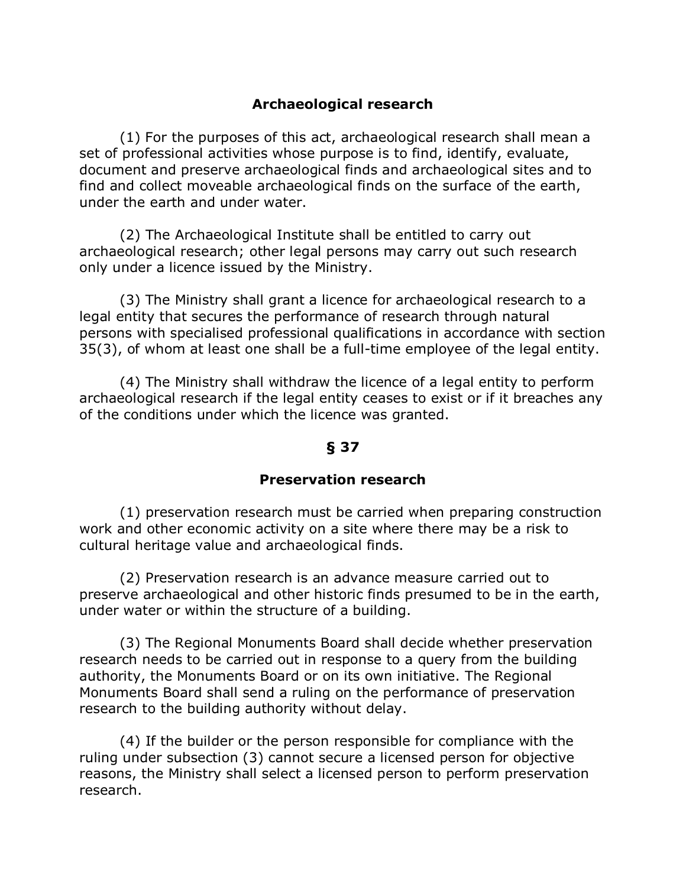## **Archaeological research**

(1) For the purposes of this act, archaeological research shall mean a set of professional activities whose purpose is to find, identify, evaluate, document and preserve archaeological finds and archaeological sites and to find and collect moveable archaeological finds on the surface of the earth, under the earth and under water.

(2) The Archaeological Institute shall be entitled to carry out archaeological research; other legal persons may carry out such research only under a licence issued by the Ministry.

(3) The Ministry shall grant a licence for archaeological research to a legal entity that secures the performance of research through natural persons with specialised professional qualifications in accordance with section 35(3), of whom at least one shall be a full-time employee of the legal entity.

(4) The Ministry shall withdraw the licence of a legal entity to perform archaeological research if the legal entity ceases to exist or if it breaches any of the conditions under which the licence was granted.

### **§ 37**

### **Preservation research**

(1) preservation research must be carried when preparing construction work and other economic activity on a site where there may be a risk to cultural heritage value and archaeological finds.

(2) Preservation research is an advance measure carried out to preserve archaeological and other historic finds presumed to be in the earth, under water or within the structure of a building.

(3) The Regional Monuments Board shall decide whether preservation research needs to be carried out in response to a query from the building authority, the Monuments Board or on its own initiative. The Regional Monuments Board shall send a ruling on the performance of preservation research to the building authority without delay.

(4) If the builder or the person responsible for compliance with the ruling under subsection (3) cannot secure a licensed person for objective reasons, the Ministry shall select a licensed person to perform preservation research.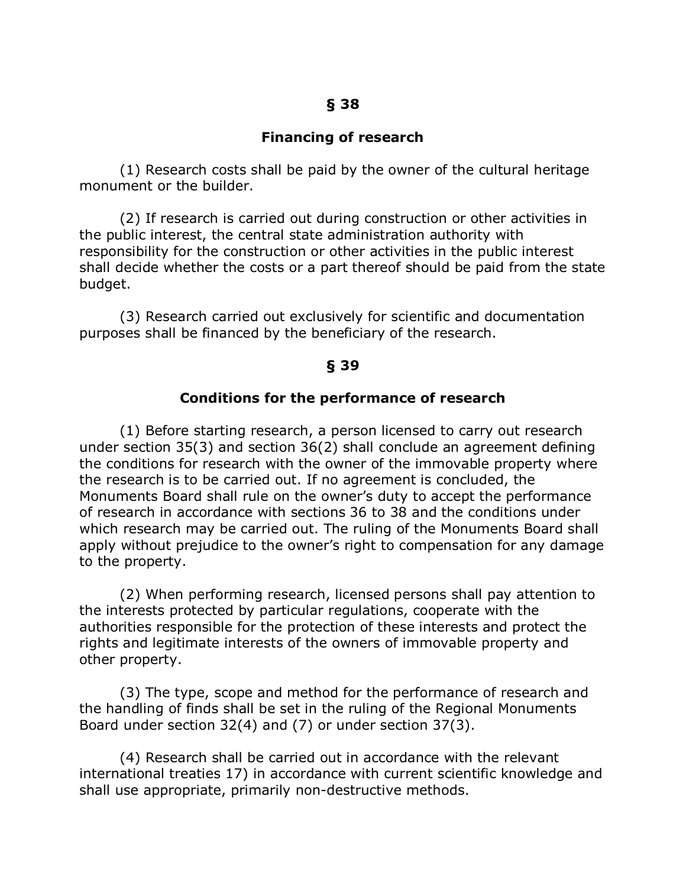### **Financing of research**

(1) Research costs shall be paid by the owner of the cultural heritage monument or the builder.

(2) If research is carried out during construction or other activities in the public interest, the central state administration authority with responsibility for the construction or other activities in the public interest shall decide whether the costs or a part thereof should be paid from the state budget.

(3) Research carried out exclusively for scientific and documentation purposes shall be financed by the beneficiary of the research.

#### **§ 39**

#### **Conditions for the performance of research**

(1) Before starting research, a person licensed to carry out research under section 35(3) and section 36(2) shall conclude an agreement defining the conditions for research with the owner of the immovable property where the research is to be carried out. If no agreement is concluded, the Monuments Board shall rule on the owner's duty to accept the performance of research in accordance with sections 36 to 38 and the conditions under which research may be carried out. The ruling of the Monuments Board shall apply without prejudice to the owner's right to compensation for any damage to the property.

(2) When performing research, licensed persons shall pay attention to the interests protected by particular regulations, cooperate with the authorities responsible for the protection of these interests and protect the rights and legitimate interests of the owners of immovable property and other property.

(3) The type, scope and method for the performance of research and the handling of finds shall be set in the ruling of the Regional Monuments Board under section 32(4) and (7) or under section 37(3).

(4) Research shall be carried out in accordance with the relevant international treaties 17) in accordance with current scientific knowledge and shall use appropriate, primarily non-destructive methods.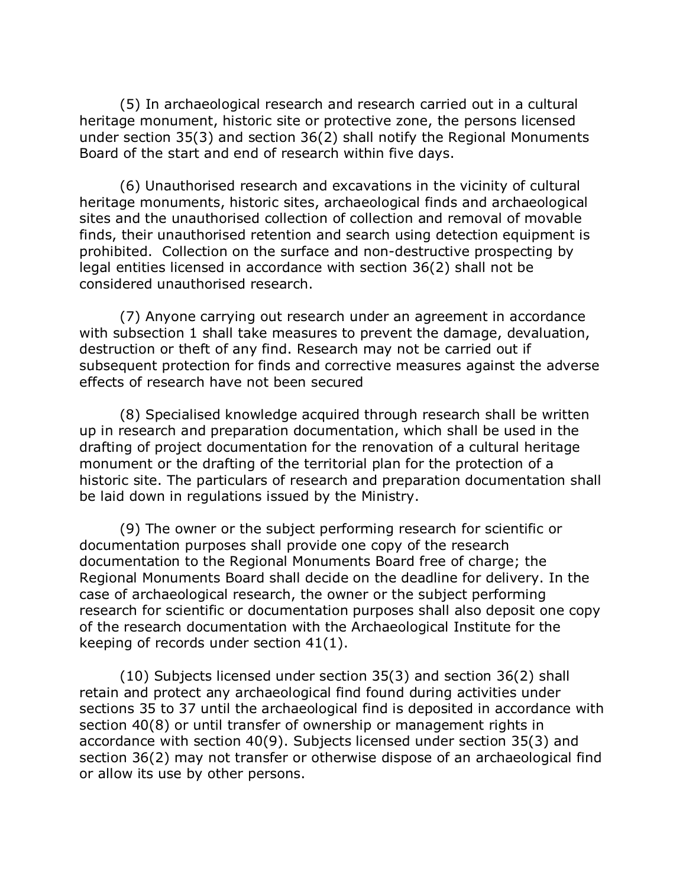(5) In archaeological research and research carried out in a cultural heritage monument, historic site or protective zone, the persons licensed under section 35(3) and section 36(2) shall notify the Regional Monuments Board of the start and end of research within five days.

(6) Unauthorised research and excavations in the vicinity of cultural heritage monuments, historic sites, archaeological finds and archaeological sites and the unauthorised collection of collection and removal of movable finds, their unauthorised retention and search using detection equipment is prohibited. Collection on the surface and non-destructive prospecting by legal entities licensed in accordance with section 36(2) shall not be considered unauthorised research.

(7) Anyone carrying out research under an agreement in accordance with subsection 1 shall take measures to prevent the damage, devaluation, destruction or theft of any find. Research may not be carried out if subsequent protection for finds and corrective measures against the adverse effects of research have not been secured

(8) Specialised knowledge acquired through research shall be written up in research and preparation documentation, which shall be used in the drafting of project documentation for the renovation of a cultural heritage monument or the drafting of the territorial plan for the protection of a historic site. The particulars of research and preparation documentation shall be laid down in regulations issued by the Ministry.

(9) The owner or the subject performing research for scientific or documentation purposes shall provide one copy of the research documentation to the Regional Monuments Board free of charge; the Regional Monuments Board shall decide on the deadline for delivery. In the case of archaeological research, the owner or the subject performing research for scientific or documentation purposes shall also deposit one copy of the research documentation with the Archaeological Institute for the keeping of records under section 41(1).

(10) Subjects licensed under section 35(3) and section 36(2) shall retain and protect any archaeological find found during activities under sections 35 to 37 until the archaeological find is deposited in accordance with section 40(8) or until transfer of ownership or management rights in accordance with section 40(9). Subjects licensed under section 35(3) and section 36(2) may not transfer or otherwise dispose of an archaeological find or allow its use by other persons.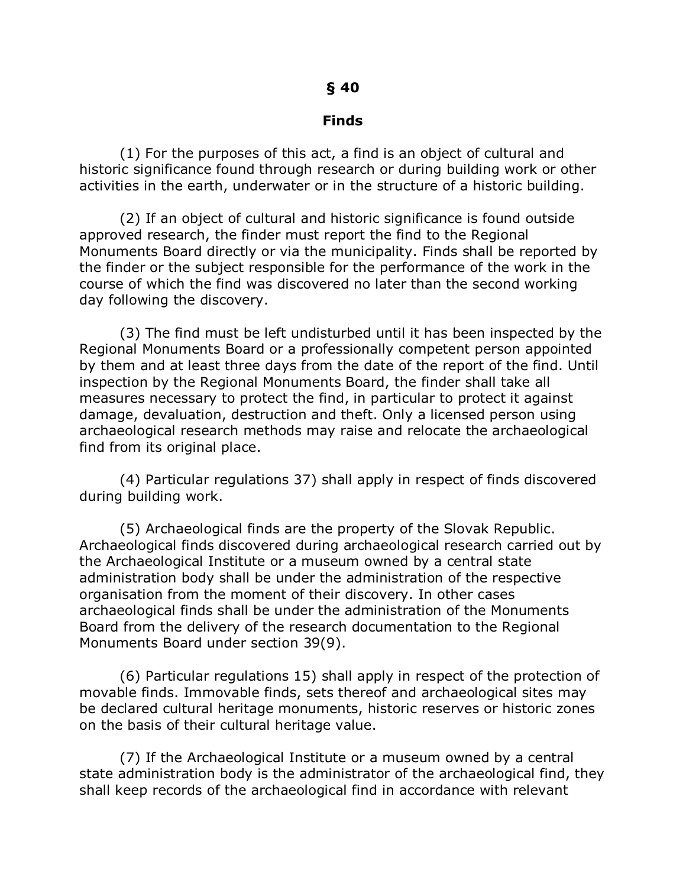#### **Finds**

(1) For the purposes of this act, a find is an object of cultural and historic significance found through research or during building work or other activities in the earth, underwater or in the structure of a historic building.

(2) If an object of cultural and historic significance is found outside approved research, the finder must report the find to the Regional Monuments Board directly or via the municipality. Finds shall be reported by the finder or the subject responsible for the performance of the work in the course of which the find was discovered no later than the second working day following the discovery.

(3) The find must be left undisturbed until it has been inspected by the Regional Monuments Board or a professionally competent person appointed by them and at least three days from the date of the report of the find. Until inspection by the Regional Monuments Board, the finder shall take all measures necessary to protect the find, in particular to protect it against damage, devaluation, destruction and theft. Only a licensed person using archaeological research methods may raise and relocate the archaeological find from its original place.

(4) Particular regulations 37) shall apply in respect of finds discovered during building work.

(5) Archaeological finds are the property of the Slovak Republic. Archaeological finds discovered during archaeological research carried out by the Archaeological Institute or a museum owned by a central state administration body shall be under the administration of the respective organisation from the moment of their discovery. In other cases archaeological finds shall be under the administration of the Monuments Board from the delivery of the research documentation to the Regional Monuments Board under section 39(9).

(6) Particular regulations 15) shall apply in respect of the protection of movable finds. Immovable finds, sets thereof and archaeological sites may be declared cultural heritage monuments, historic reserves or historic zones on the basis of their cultural heritage value.

(7) If the Archaeological Institute or a museum owned by a central state administration body is the administrator of the archaeological find, they shall keep records of the archaeological find in accordance with relevant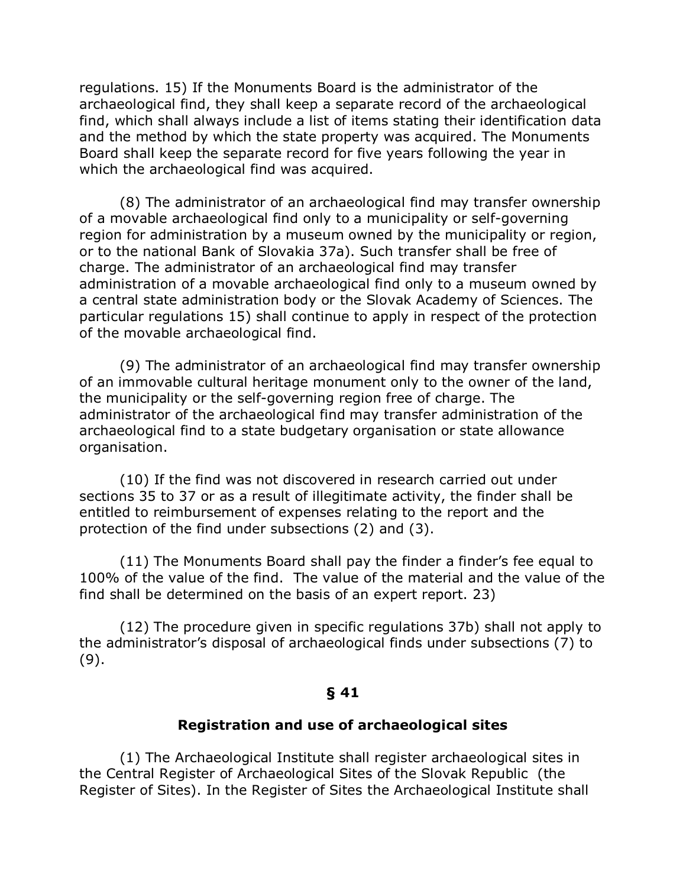regulations. 15) If the Monuments Board is the administrator of the archaeological find, they shall keep a separate record of the archaeological find, which shall always include a list of items stating their identification data and the method by which the state property was acquired. The Monuments Board shall keep the separate record for five years following the year in which the archaeological find was acquired.

(8) The administrator of an archaeological find may transfer ownership of a movable archaeological find only to a municipality or self-governing region for administration by a museum owned by the municipality or region, or to the national Bank of Slovakia 37a). Such transfer shall be free of charge. The administrator of an archaeological find may transfer administration of a movable archaeological find only to a museum owned by a central state administration body or the Slovak Academy of Sciences. The particular regulations 15) shall continue to apply in respect of the protection of the movable archaeological find.

(9) The administrator of an archaeological find may transfer ownership of an immovable cultural heritage monument only to the owner of the land, the municipality or the self-governing region free of charge. The administrator of the archaeological find may transfer administration of the archaeological find to a state budgetary organisation or state allowance organisation.

(10) If the find was not discovered in research carried out under sections 35 to 37 or as a result of illegitimate activity, the finder shall be entitled to reimbursement of expenses relating to the report and the protection of the find under subsections (2) and (3).

(11) The Monuments Board shall pay the finder a finder's fee equal to 100% of the value of the find. The value of the material and the value of the find shall be determined on the basis of an expert report. 23)

(12) The procedure given in specific regulations 37b) shall not apply to the administrator's disposal of archaeological finds under subsections (7) to (9).

#### **§ 41**

#### **Registration and use of archaeological sites**

(1) The Archaeological Institute shall register archaeological sites in the Central Register of Archaeological Sites of the Slovak Republic (the Register of Sites). In the Register of Sites the Archaeological Institute shall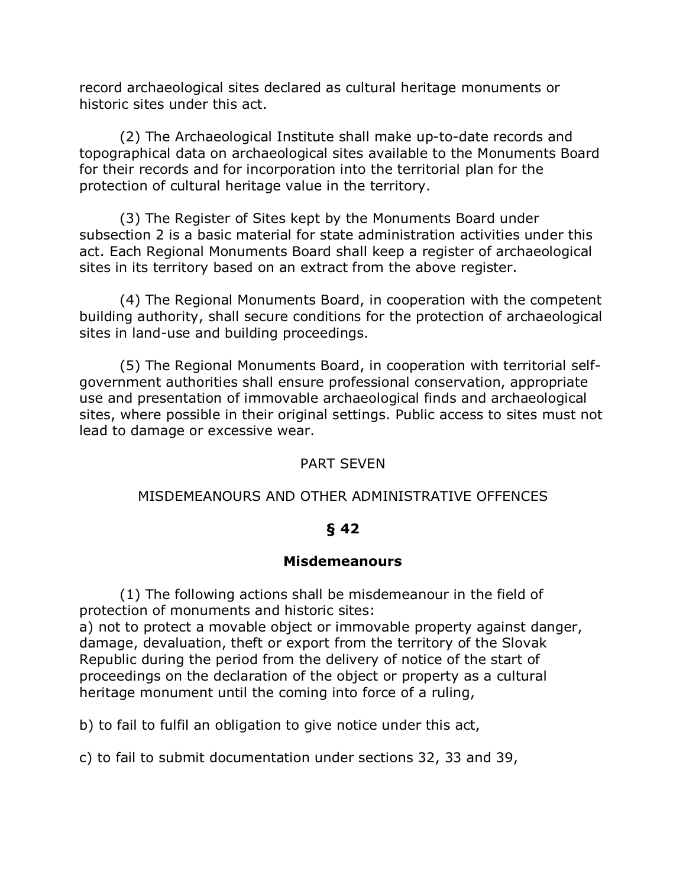record archaeological sites declared as cultural heritage monuments or historic sites under this act.

(2) The Archaeological Institute shall make up-to-date records and topographical data on archaeological sites available to the Monuments Board for their records and for incorporation into the territorial plan for the protection of cultural heritage value in the territory.

(3) The Register of Sites kept by the Monuments Board under subsection 2 is a basic material for state administration activities under this act. Each Regional Monuments Board shall keep a register of archaeological sites in its territory based on an extract from the above register.

(4) The Regional Monuments Board, in cooperation with the competent building authority, shall secure conditions for the protection of archaeological sites in land-use and building proceedings.

(5) The Regional Monuments Board, in cooperation with territorial selfgovernment authorities shall ensure professional conservation, appropriate use and presentation of immovable archaeological finds and archaeological sites, where possible in their original settings. Public access to sites must not lead to damage or excessive wear.

### PART SEVEN

### MISDEMEANOURS AND OTHER ADMINISTRATIVE OFFENCES

### **§ 42**

### **Misdemeanours**

(1) The following actions shall be misdemeanour in the field of protection of monuments and historic sites:

a) not to protect a movable object or immovable property against danger, damage, devaluation, theft or export from the territory of the Slovak Republic during the period from the delivery of notice of the start of proceedings on the declaration of the object or property as a cultural heritage monument until the coming into force of a ruling,

b) to fail to fulfil an obligation to give notice under this act,

c) to fail to submit documentation under sections 32, 33 and 39,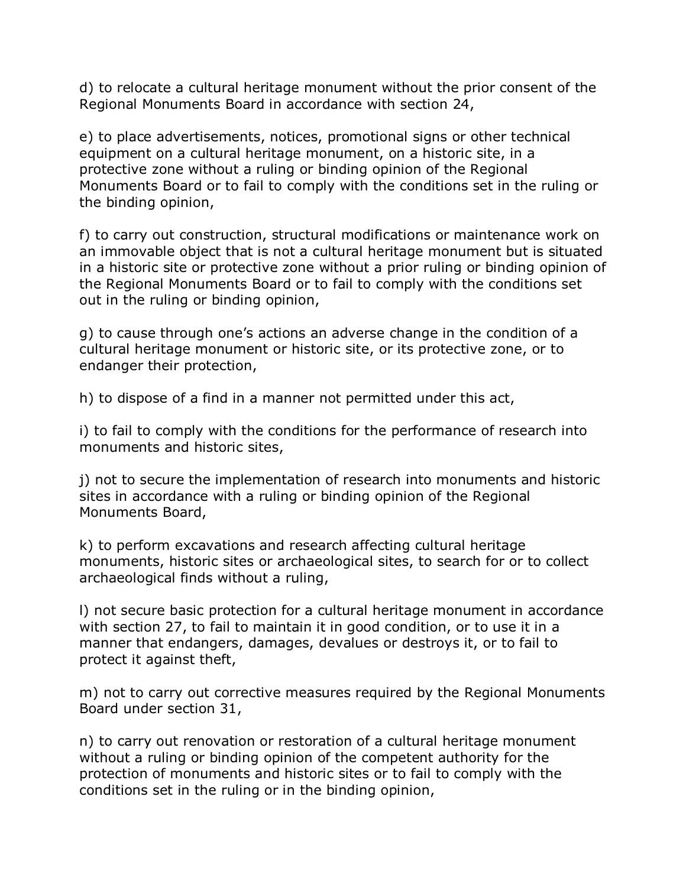d) to relocate a cultural heritage monument without the prior consent of the Regional Monuments Board in accordance with section 24,

e) to place advertisements, notices, promotional signs or other technical equipment on a cultural heritage monument, on a historic site, in a protective zone without a ruling or binding opinion of the Regional Monuments Board or to fail to comply with the conditions set in the ruling or the binding opinion,

f) to carry out construction, structural modifications or maintenance work on an immovable object that is not a cultural heritage monument but is situated in a historic site or protective zone without a prior ruling or binding opinion of the Regional Monuments Board or to fail to comply with the conditions set out in the ruling or binding opinion,

g) to cause through one's actions an adverse change in the condition of a cultural heritage monument or historic site, or its protective zone, or to endanger their protection,

h) to dispose of a find in a manner not permitted under this act,

i) to fail to comply with the conditions for the performance of research into monuments and historic sites,

j) not to secure the implementation of research into monuments and historic sites in accordance with a ruling or binding opinion of the Regional Monuments Board,

k) to perform excavations and research affecting cultural heritage monuments, historic sites or archaeological sites, to search for or to collect archaeological finds without a ruling,

l) not secure basic protection for a cultural heritage monument in accordance with section 27, to fail to maintain it in good condition, or to use it in a manner that endangers, damages, devalues or destroys it, or to fail to protect it against theft,

m) not to carry out corrective measures required by the Regional Monuments Board under section 31,

n) to carry out renovation or restoration of a cultural heritage monument without a ruling or binding opinion of the competent authority for the protection of monuments and historic sites or to fail to comply with the conditions set in the ruling or in the binding opinion,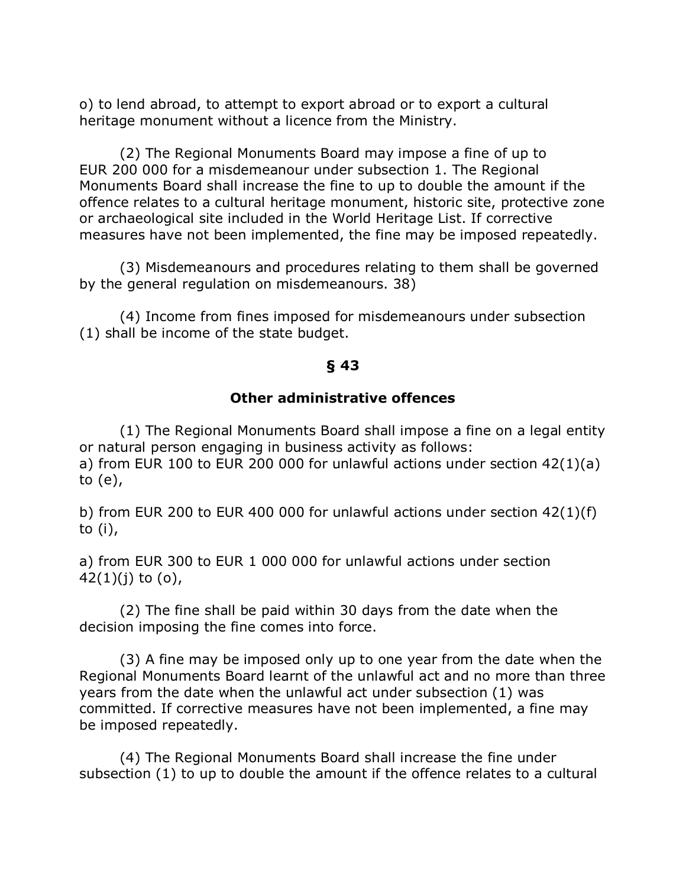o) to lend abroad, to attempt to export abroad or to export a cultural heritage monument without a licence from the Ministry.

(2) The Regional Monuments Board may impose a fine of up to EUR 200 000 for a misdemeanour under subsection 1. The Regional Monuments Board shall increase the fine to up to double the amount if the offence relates to a cultural heritage monument, historic site, protective zone or archaeological site included in the World Heritage List. If corrective measures have not been implemented, the fine may be imposed repeatedly.

(3) Misdemeanours and procedures relating to them shall be governed by the general regulation on misdemeanours. 38)

(4) Income from fines imposed for misdemeanours under subsection (1) shall be income of the state budget.

### **§ 43**

#### **Other administrative offences**

(1) The Regional Monuments Board shall impose a fine on a legal entity or natural person engaging in business activity as follows: a) from EUR 100 to EUR 200 000 for unlawful actions under section 42(1)(a) to (e),

b) from EUR 200 to EUR 400 000 for unlawful actions under section 42(1)(f) to (i),

a) from EUR 300 to EUR 1 000 000 for unlawful actions under section  $42(1)(j)$  to  $(0)$ ,

(2) The fine shall be paid within 30 days from the date when the decision imposing the fine comes into force.

(3) A fine may be imposed only up to one year from the date when the Regional Monuments Board learnt of the unlawful act and no more than three years from the date when the unlawful act under subsection (1) was committed. If corrective measures have not been implemented, a fine may be imposed repeatedly.

(4) The Regional Monuments Board shall increase the fine under subsection (1) to up to double the amount if the offence relates to a cultural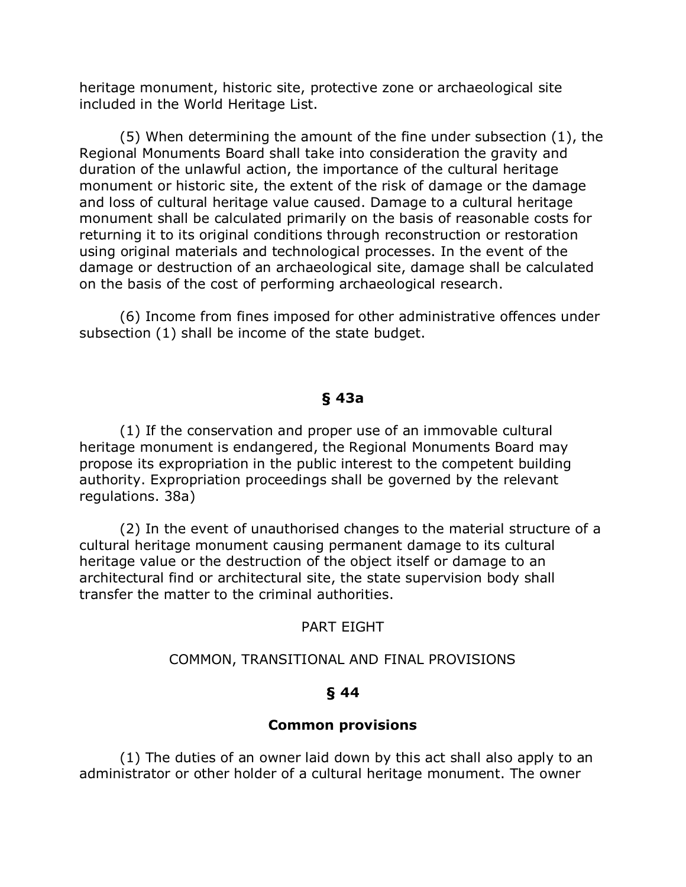heritage monument, historic site, protective zone or archaeological site included in the World Heritage List.

(5) When determining the amount of the fine under subsection (1), the Regional Monuments Board shall take into consideration the gravity and duration of the unlawful action, the importance of the cultural heritage monument or historic site, the extent of the risk of damage or the damage and loss of cultural heritage value caused. Damage to a cultural heritage monument shall be calculated primarily on the basis of reasonable costs for returning it to its original conditions through reconstruction or restoration using original materials and technological processes. In the event of the damage or destruction of an archaeological site, damage shall be calculated on the basis of the cost of performing archaeological research.

(6) Income from fines imposed for other administrative offences under subsection (1) shall be income of the state budget.

### **§ 43a**

(1) If the conservation and proper use of an immovable cultural heritage monument is endangered, the Regional Monuments Board may propose its expropriation in the public interest to the competent building authority. Expropriation proceedings shall be governed by the relevant regulations. 38a)

(2) In the event of unauthorised changes to the material structure of a cultural heritage monument causing permanent damage to its cultural heritage value or the destruction of the object itself or damage to an architectural find or architectural site, the state supervision body shall transfer the matter to the criminal authorities.

#### PART EIGHT

#### COMMON, TRANSITIONAL AND FINAL PROVISIONS

### **§ 44**

#### **Common provisions**

(1) The duties of an owner laid down by this act shall also apply to an administrator or other holder of a cultural heritage monument. The owner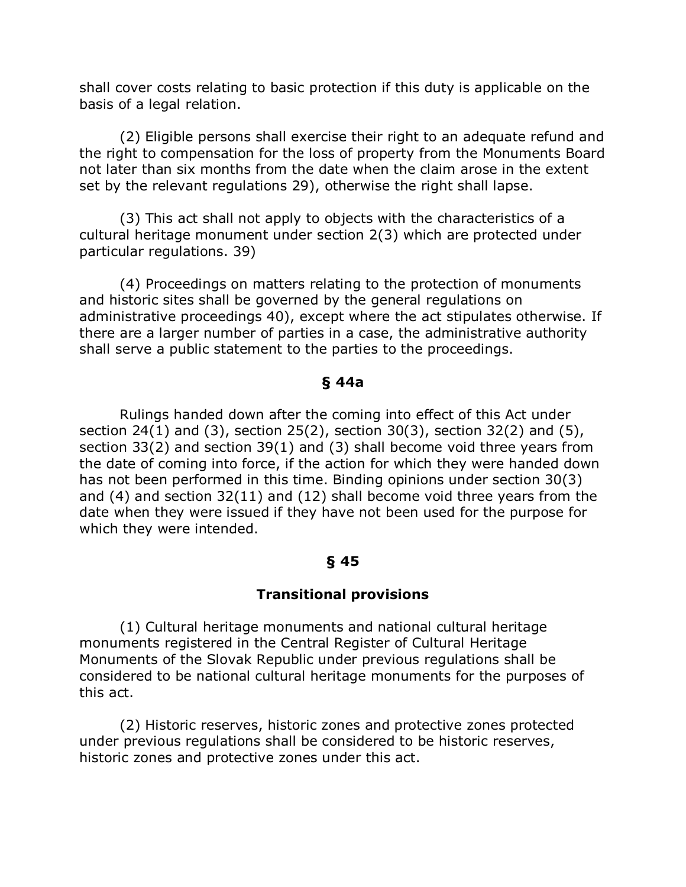shall cover costs relating to basic protection if this duty is applicable on the basis of a legal relation.

(2) Eligible persons shall exercise their right to an adequate refund and the right to compensation for the loss of property from the Monuments Board not later than six months from the date when the claim arose in the extent set by the relevant regulations 29), otherwise the right shall lapse.

(3) This act shall not apply to objects with the characteristics of a cultural heritage monument under section 2(3) which are protected under particular regulations. 39)

(4) Proceedings on matters relating to the protection of monuments and historic sites shall be governed by the general regulations on administrative proceedings 40), except where the act stipulates otherwise. If there are a larger number of parties in a case, the administrative authority shall serve a public statement to the parties to the proceedings.

### **§ 44a**

Rulings handed down after the coming into effect of this Act under section 24(1) and (3), section 25(2), section 30(3), section 32(2) and (5), section 33(2) and section 39(1) and (3) shall become void three years from the date of coming into force, if the action for which they were handed down has not been performed in this time. Binding opinions under section 30(3) and (4) and section 32(11) and (12) shall become void three years from the date when they were issued if they have not been used for the purpose for which they were intended.

## **§ 45**

## **Transitional provisions**

(1) Cultural heritage monuments and national cultural heritage monuments registered in the Central Register of Cultural Heritage Monuments of the Slovak Republic under previous regulations shall be considered to be national cultural heritage monuments for the purposes of this act.

(2) Historic reserves, historic zones and protective zones protected under previous regulations shall be considered to be historic reserves, historic zones and protective zones under this act.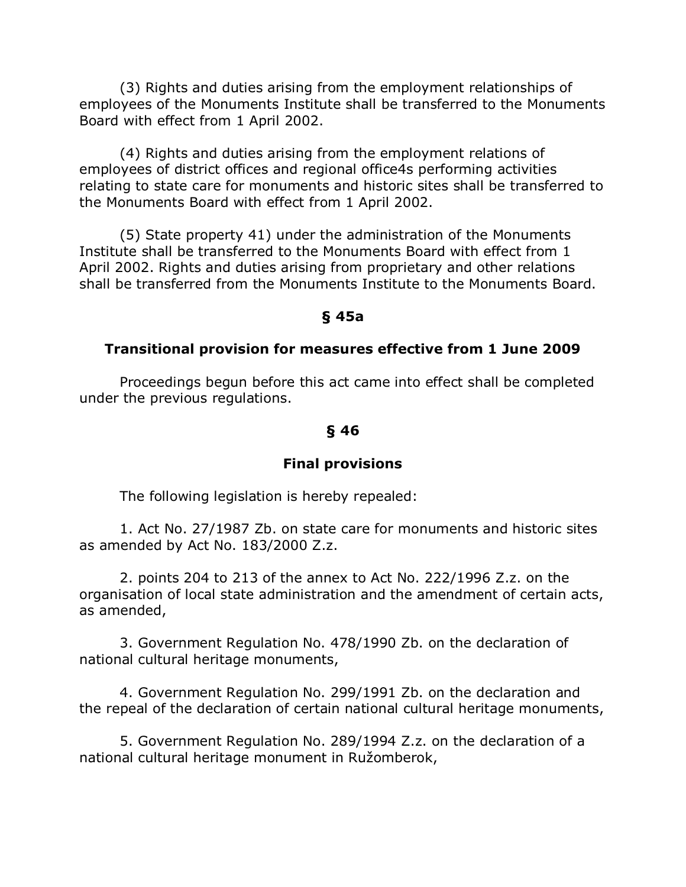(3) Rights and duties arising from the employment relationships of employees of the Monuments Institute shall be transferred to the Monuments Board with effect from 1 April 2002.

(4) Rights and duties arising from the employment relations of employees of district offices and regional office4s performing activities relating to state care for monuments and historic sites shall be transferred to the Monuments Board with effect from 1 April 2002.

(5) State property 41) under the administration of the Monuments Institute shall be transferred to the Monuments Board with effect from 1 April 2002. Rights and duties arising from proprietary and other relations shall be transferred from the Monuments Institute to the Monuments Board.

### **§ 45a**

### **Transitional provision for measures effective from 1 June 2009**

Proceedings begun before this act came into effect shall be completed under the previous regulations.

## **§ 46**

## **Final provisions**

The following legislation is hereby repealed:

1. Act No. 27/1987 Zb. on state care for monuments and historic sites as amended by Act No. 183/2000 Z.z.

2. points 204 to 213 of the annex to Act No. 222/1996 Z.z. on the organisation of local state administration and the amendment of certain acts, as amended,

3. Government Regulation No. 478/1990 Zb. on the declaration of national cultural heritage monuments,

4. Government Regulation No. 299/1991 Zb. on the declaration and the repeal of the declaration of certain national cultural heritage monuments,

5. Government Regulation No. 289/1994 Z.z. on the declaration of a national cultural heritage monument in Ružomberok,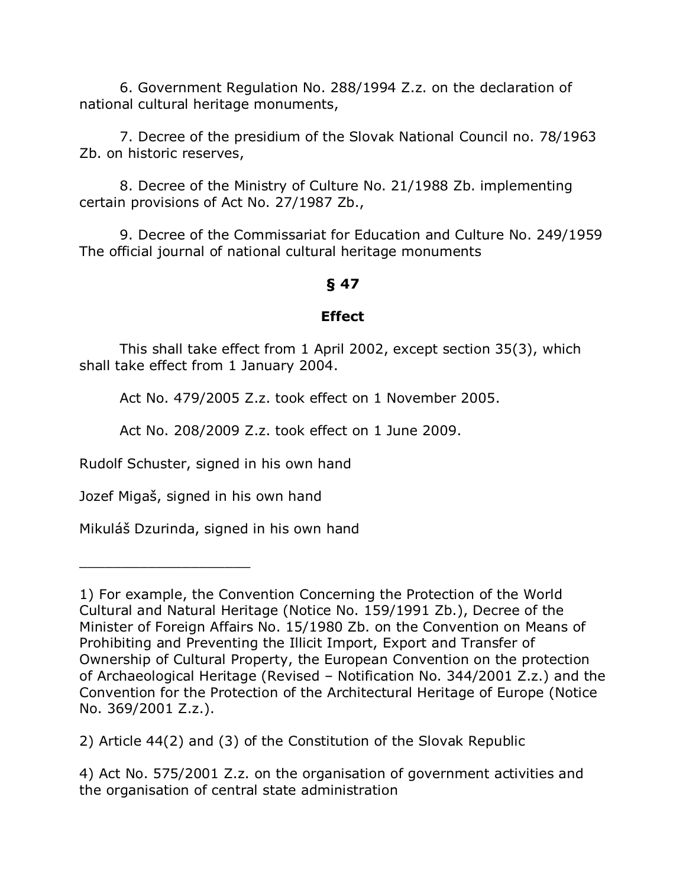6. Government Regulation No. 288/1994 Z.z. on the declaration of national cultural heritage monuments,

7. Decree of the presidium of the Slovak National Council no. 78/1963 Zb. on historic reserves,

8. Decree of the Ministry of Culture No. 21/1988 Zb. implementing certain provisions of Act No. 27/1987 Zb.,

9. Decree of the Commissariat for Education and Culture No. 249/1959 The official journal of national cultural heritage monuments

### **§ 47**

### **Effect**

This shall take effect from 1 April 2002, except section 35(3), which shall take effect from 1 January 2004.

Act No. 479/2005 Z.z. took effect on 1 November 2005.

Act No. 208/2009 Z.z. took effect on 1 June 2009.

Rudolf Schuster, signed in his own hand

Jozef Migaš, signed in his own hand

\_\_\_\_\_\_\_\_\_\_\_\_\_\_\_\_\_\_\_\_

Mikuláš Dzurinda, signed in his own hand

<sup>1)</sup> For example, the Convention Concerning the Protection of the World Cultural and Natural Heritage (Notice No. 159/1991 Zb.), Decree of the Minister of Foreign Affairs No. 15/1980 Zb. on the Convention on Means of Prohibiting and Preventing the Illicit Import, Export and Transfer of Ownership of Cultural Property, the European Convention on the protection of Archaeological Heritage (Revised – Notification No. 344/2001 Z.z.) and the Convention for the Protection of the Architectural Heritage of Europe (Notice No. 369/2001 Z.z.).

<sup>2)</sup> Article 44(2) and (3) of the Constitution of the Slovak Republic

<sup>4)</sup> Act No. 575/2001 Z.z. on the organisation of government activities and the organisation of central state administration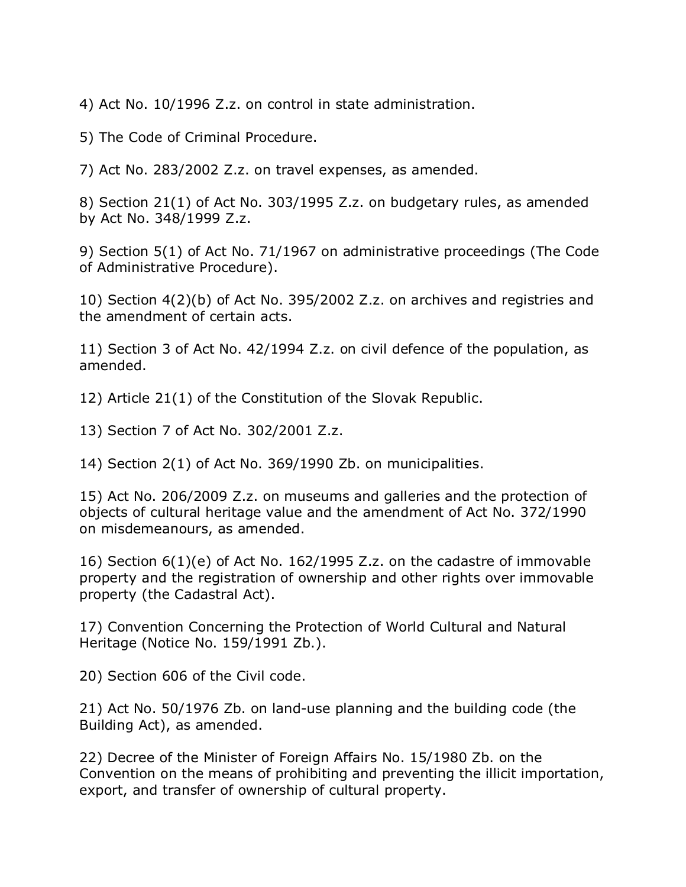4) Act No. 10/1996 Z.z. on control in state administration.

5) The Code of Criminal Procedure.

7) Act No. 283/2002 Z.z. on travel expenses, as amended.

8) Section 21(1) of Act No. 303/1995 Z.z. on budgetary rules, as amended by Act No. 348/1999 Z.z.

9) Section 5(1) of Act No. 71/1967 on administrative proceedings (The Code of Administrative Procedure).

10) Section 4(2)(b) of Act No. 395/2002 Z.z. on archives and registries and the amendment of certain acts.

11) Section 3 of Act No. 42/1994 Z.z. on civil defence of the population, as amended.

12) Article 21(1) of the Constitution of the Slovak Republic.

13) Section 7 of Act No. 302/2001 Z.z.

14) Section 2(1) of Act No. 369/1990 Zb. on municipalities.

15) Act No. 206/2009 Z.z. on museums and galleries and the protection of objects of cultural heritage value and the amendment of Act No. 372/1990 on misdemeanours, as amended.

16) Section 6(1)(e) of Act No. 162/1995 Z.z. on the cadastre of immovable property and the registration of ownership and other rights over immovable property (the Cadastral Act).

17) Convention Concerning the Protection of World Cultural and Natural Heritage (Notice No. 159/1991 Zb.).

20) Section 606 of the Civil code.

21) Act No. 50/1976 Zb. on land-use planning and the building code (the Building Act), as amended.

22) Decree of the Minister of Foreign Affairs No. 15/1980 Zb. on the Convention on the means of prohibiting and preventing the illicit importation, export, and transfer of ownership of cultural property.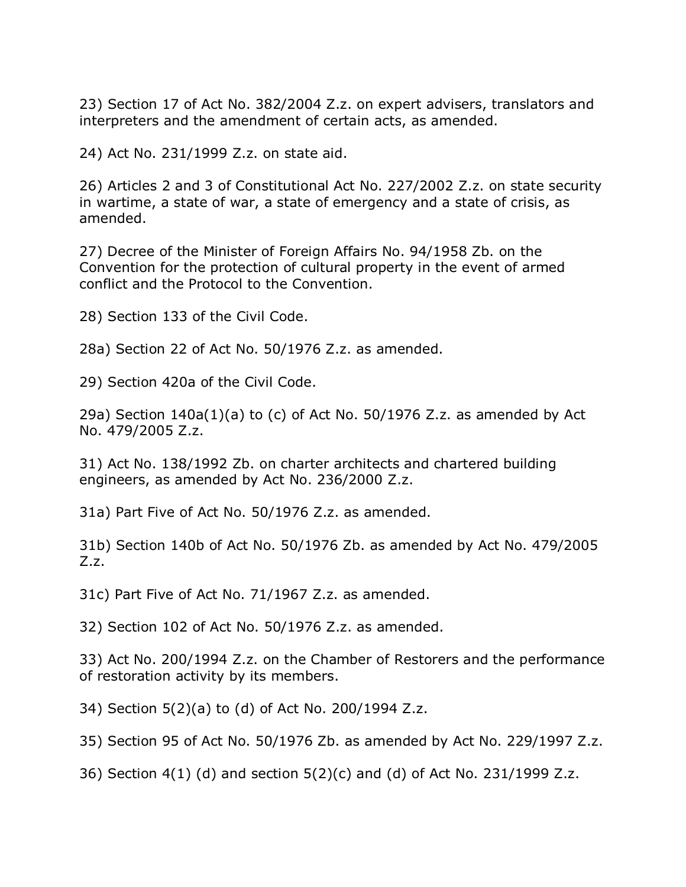23) Section 17 of Act No. 382/2004 Z.z. on expert advisers, translators and interpreters and the amendment of certain acts, as amended.

24) Act No. 231/1999 Z.z. on state aid.

26) Articles 2 and 3 of Constitutional Act No. 227/2002 Z.z. on state security in wartime, a state of war, a state of emergency and a state of crisis, as amended.

27) Decree of the Minister of Foreign Affairs No. 94/1958 Zb. on the Convention for the protection of cultural property in the event of armed conflict and the Protocol to the Convention.

28) Section 133 of the Civil Code.

28a) Section 22 of Act No. 50/1976 Z.z. as amended.

29) Section 420a of the Civil Code.

29a) Section  $140a(1)(a)$  to (c) of Act No. 50/1976 Z.z. as amended by Act No. 479/2005 Z.z.

31) Act No. 138/1992 Zb. on charter architects and chartered building engineers, as amended by Act No. 236/2000 Z.z.

31a) Part Five of Act No. 50/1976 Z.z. as amended.

31b) Section 140b of Act No. 50/1976 Zb. as amended by Act No. 479/2005 Z.z.

31c) Part Five of Act No. 71/1967 Z.z. as amended.

32) Section 102 of Act No. 50/1976 Z.z. as amended.

33) Act No. 200/1994 Z.z. on the Chamber of Restorers and the performance of restoration activity by its members.

34) Section 5(2)(a) to (d) of Act No. 200/1994 Z.z.

35) Section 95 of Act No. 50/1976 Zb. as amended by Act No. 229/1997 Z.z.

36) Section 4(1) (d) and section 5(2)(c) and (d) of Act No. 231/1999 Z.z.